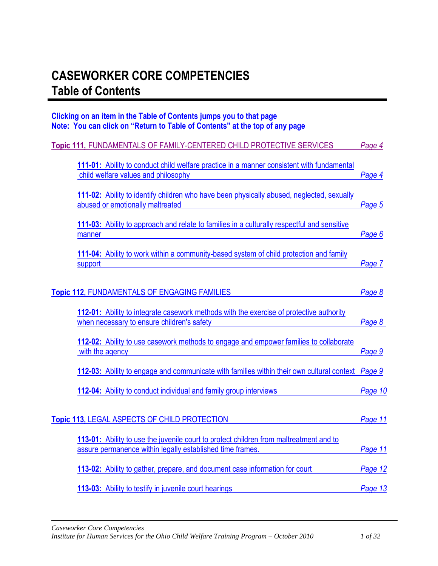## <span id="page-0-0"></span>**CASEWORKER CORE COMPETENCIES Table of Contents**

### **Clicking on an item in the Table of Contents jumps you to that page Note: You can click on "Return to Table of Contents" at the top of any page**

| Topic 111, FUNDAMENTALS OF FAMILY-CENTERED CHILD PROTECTIVE SERVICES                                                                                | Page 4  |
|-----------------------------------------------------------------------------------------------------------------------------------------------------|---------|
| 111-01: Ability to conduct child welfare practice in a manner consistent with fundamental<br>child welfare values and philosophy                    | Page 4  |
| 111-02: Ability to identify children who have been physically abused, neglected, sexually<br>abused or emotionally maltreated                       | Page 5  |
| 111-03: Ability to approach and relate to families in a culturally respectful and sensitive<br>manner                                               | Page 6  |
| 111-04: Ability to work within a community-based system of child protection and family<br>support                                                   | Page 7  |
| <b>Topic 112, FUNDAMENTALS OF ENGAGING FAMILIES</b>                                                                                                 | Page 8  |
| 112-01: Ability to integrate casework methods with the exercise of protective authority<br>when necessary to ensure children's safety               | Page 8  |
| 112-02: Ability to use casework methods to engage and empower families to collaborate<br>with the agency                                            | Page 9  |
| 112-03: Ability to engage and communicate with families within their own cultural context Page 9                                                    |         |
| 112-04: Ability to conduct individual and family group interviews                                                                                   | Page 10 |
| <b>Topic 113, LEGAL ASPECTS OF CHILD PROTECTION</b>                                                                                                 | Page 11 |
| 113-01: Ability to use the juvenile court to protect children from maltreatment and to<br>assure permanence within legally established time frames. | Page 11 |
| 113-02: Ability to gather, prepare, and document case information for court                                                                         | Page 12 |
| 113-03: Ability to testify in juvenile court hearings                                                                                               | Page 13 |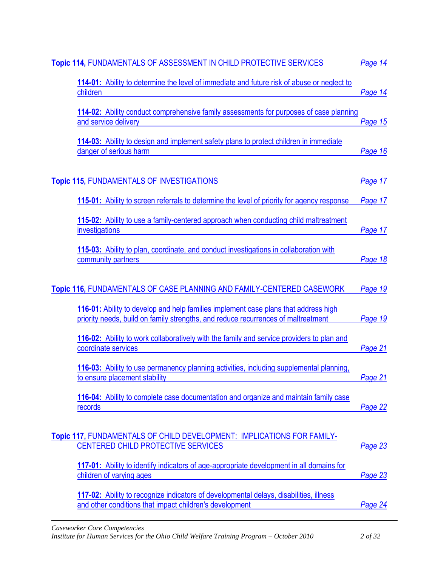| <b>Topic 114, FUNDAMENTALS OF ASSESSMENT IN CHILD PROTECTIVE SERVICES</b>                                                                                                | Page 14 |
|--------------------------------------------------------------------------------------------------------------------------------------------------------------------------|---------|
| 114-01: Ability to determine the level of immediate and future risk of abuse or neglect to<br>children                                                                   | Page 14 |
| 114-02: Ability conduct comprehensive family assessments for purposes of case planning<br>and service delivery                                                           | Page 15 |
| 114-03: Ability to design and implement safety plans to protect children in immediate<br>danger of serious harm                                                          | Page 16 |
| <b>Topic 115, FUNDAMENTALS OF INVESTIGATIONS</b>                                                                                                                         | Page 17 |
| 115-01: Ability to screen referrals to determine the level of priority for agency response                                                                               | Page 17 |
| 115-02: Ability to use a family-centered approach when conducting child maltreatment<br>investigations                                                                   | Page 17 |
| 115-03: Ability to plan, coordinate, and conduct investigations in collaboration with<br>community partners                                                              | Page 18 |
| Topic 116, FUNDAMENTALS OF CASE PLANNING AND FAMILY-CENTERED CASEWORK                                                                                                    | Page 19 |
| 116-01: Ability to develop and help families implement case plans that address high<br>priority needs, build on family strengths, and reduce recurrences of maltreatment | Page 19 |
| 116-02: Ability to work collaboratively with the family and service providers to plan and<br>coordinate services                                                         | Page 21 |
| 116-03: Ability to use permanency planning activities, including supplemental planning,<br>to ensure placement stability                                                 | Page 21 |
| 116-04: Ability to complete case documentation and organize and maintain family case<br>records                                                                          | Page 22 |
| Topic 117, FUNDAMENTALS OF CHILD DEVELOPMENT: IMPLICATIONS FOR FAMILY-<br>CENTERED CHILD PROTECTIVE SERVICES                                                             | Page 23 |
| 117-01: Ability to identify indicators of age-appropriate development in all domains for<br>children of varying ages                                                     | Page 23 |
| 117-02: Ability to recognize indicators of developmental delays, disabilities, illness<br>and other conditions that impact children's development                        | Page 24 |
| <b>Caseworker Core Competencies</b>                                                                                                                                      |         |

*Institute for Human Services for the Ohio Child Welfare Training Program – October 2010 2 of 32*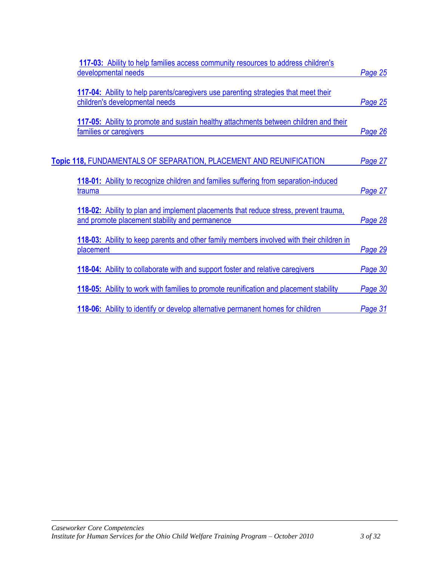| 117-03: Ability to help families access community resources to address children's                                                      |                |
|----------------------------------------------------------------------------------------------------------------------------------------|----------------|
| developmental needs                                                                                                                    | <b>Page 25</b> |
| 117-04: Ability to help parents/caregivers use parenting strategies that meet their<br>children's developmental needs                  | Page 25        |
| 117-05: Ability to promote and sustain healthy attachments between children and their<br>families or caregivers                        | Page 26        |
| Topic 118, FUNDAMENTALS OF SEPARATION, PLACEMENT AND REUNIFICATION                                                                     | Page 27        |
| 118-01: Ability to recognize children and families suffering from separation-induced<br>trauma                                         | Page 27        |
| 118-02: Ability to plan and implement placements that reduce stress, prevent trauma,<br>and promote placement stability and permanence | Page 28        |
| 118-03: Ability to keep parents and other family members involved with their children in<br>placement                                  | Page 29        |
| <b>118-04:</b> Ability to collaborate with and support foster and relative caregivers                                                  | Page 30        |
| 118-05: Ability to work with families to promote reunification and placement stability                                                 | Page 30        |
| <b>118-06:</b> Ability to identify or develop alternative permanent homes for children                                                 | Page 31        |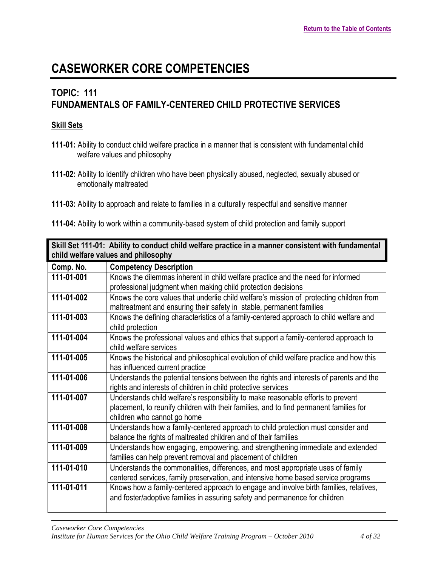## <span id="page-3-0"></span>**TOPIC: 111 FUNDAMENTALS OF FAMILY-CENTERED CHILD PROTECTIVE SERVICES**

### **Skill Sets**

- **111-01:** Ability to conduct child welfare practice in a manner that is consistent with fundamental child welfare values and philosophy
- **111-02:** Ability to identify children who have been physically abused, neglected, sexually abused or emotionally maltreated
- **111-03:** Ability to approach and relate to families in a culturally respectful and sensitive manner

**<sup>111-04:</sup>** Ability to work within a community-based system of child protection and family support

<span id="page-3-1"></span>

| Skill Set 111-01: Ability to conduct child welfare practice in a manner consistent with fundamental<br>child welfare values and philosophy |                                                                                                                                                                                                           |
|--------------------------------------------------------------------------------------------------------------------------------------------|-----------------------------------------------------------------------------------------------------------------------------------------------------------------------------------------------------------|
| Comp. No.                                                                                                                                  | <b>Competency Description</b>                                                                                                                                                                             |
| 111-01-001                                                                                                                                 | Knows the dilemmas inherent in child welfare practice and the need for informed                                                                                                                           |
|                                                                                                                                            | professional judgment when making child protection decisions                                                                                                                                              |
| 111-01-002                                                                                                                                 | Knows the core values that underlie child welfare's mission of protecting children from<br>maltreatment and ensuring their safety in stable, permanent families                                           |
| 111-01-003                                                                                                                                 | Knows the defining characteristics of a family-centered approach to child welfare and<br>child protection                                                                                                 |
| 111-01-004                                                                                                                                 | Knows the professional values and ethics that support a family-centered approach to<br>child welfare services                                                                                             |
| 111-01-005                                                                                                                                 | Knows the historical and philosophical evolution of child welfare practice and how this<br>has influenced current practice                                                                                |
| 111-01-006                                                                                                                                 | Understands the potential tensions between the rights and interests of parents and the<br>rights and interests of children in child protective services                                                   |
| 111-01-007                                                                                                                                 | Understands child welfare's responsibility to make reasonable efforts to prevent<br>placement, to reunify children with their families, and to find permanent families for<br>children who cannot go home |
| 111-01-008                                                                                                                                 | Understands how a family-centered approach to child protection must consider and<br>balance the rights of maltreated children and of their families                                                       |
| 111-01-009                                                                                                                                 | Understands how engaging, empowering, and strengthening immediate and extended<br>families can help prevent removal and placement of children                                                             |
| 111-01-010                                                                                                                                 | Understands the commonalities, differences, and most appropriate uses of family<br>centered services, family preservation, and intensive home based service programs                                      |
| 111-01-011                                                                                                                                 | Knows how a family-centered approach to engage and involve birth families, relatives,<br>and foster/adoptive families in assuring safety and permanence for children                                      |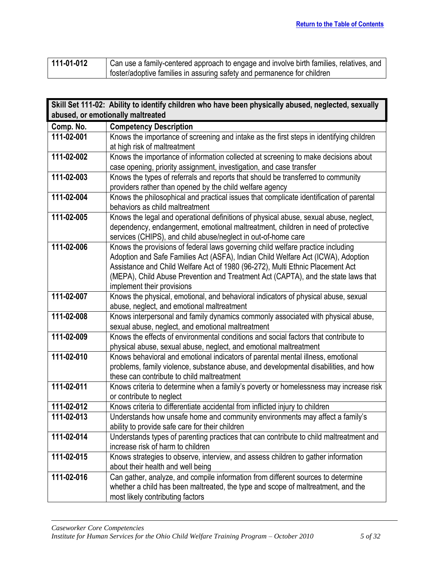| 111-01-012 | Can use a family-centered approach to engage and involve birth families, relatives, and |
|------------|-----------------------------------------------------------------------------------------|
|            | foster/adoptive families in assuring safety and permanence for children                 |

<span id="page-4-0"></span>

|            | Skill Set 111-02: Ability to identify children who have been physically abused, neglected, sexually                                      |
|------------|------------------------------------------------------------------------------------------------------------------------------------------|
|            | abused, or emotionally maltreated                                                                                                        |
| Comp. No.  | <b>Competency Description</b>                                                                                                            |
| 111-02-001 | Knows the importance of screening and intake as the first steps in identifying children                                                  |
|            | at high risk of maltreatment                                                                                                             |
| 111-02-002 | Knows the importance of information collected at screening to make decisions about                                                       |
|            | case opening, priority assignment, investigation, and case transfer                                                                      |
| 111-02-003 | Knows the types of referrals and reports that should be transferred to community                                                         |
|            | providers rather than opened by the child welfare agency                                                                                 |
| 111-02-004 | Knows the philosophical and practical issues that complicate identification of parental                                                  |
|            | behaviors as child maltreatment                                                                                                          |
| 111-02-005 | Knows the legal and operational definitions of physical abuse, sexual abuse, neglect,                                                    |
|            | dependency, endangerment, emotional maltreatment, children in need of protective                                                         |
|            | services (CHIPS), and child abuse/neglect in out-of-home care                                                                            |
| 111-02-006 | Knows the provisions of federal laws governing child welfare practice including                                                          |
|            | Adoption and Safe Families Act (ASFA), Indian Child Welfare Act (ICWA), Adoption                                                         |
|            | Assistance and Child Welfare Act of 1980 (96-272), Multi Ethnic Placement Act                                                            |
|            | (MEPA), Child Abuse Prevention and Treatment Act (CAPTA), and the state laws that                                                        |
|            | implement their provisions                                                                                                               |
| 111-02-007 | Knows the physical, emotional, and behavioral indicators of physical abuse, sexual                                                       |
|            | abuse, neglect, and emotional maltreatment                                                                                               |
| 111-02-008 | Knows interpersonal and family dynamics commonly associated with physical abuse,                                                         |
| 111-02-009 | sexual abuse, neglect, and emotional maltreatment<br>Knows the effects of environmental conditions and social factors that contribute to |
|            | physical abuse, sexual abuse, neglect, and emotional maltreatment                                                                        |
| 111-02-010 | Knows behavioral and emotional indicators of parental mental illness, emotional                                                          |
|            | problems, family violence, substance abuse, and developmental disabilities, and how                                                      |
|            | these can contribute to child maltreatment                                                                                               |
| 111-02-011 | Knows criteria to determine when a family's poverty or homelessness may increase risk                                                    |
|            | or contribute to neglect                                                                                                                 |
| 111-02-012 | Knows criteria to differentiate accidental from inflicted injury to children                                                             |
| 111-02-013 | Understands how unsafe home and community environments may affect a family's                                                             |
|            | ability to provide safe care for their children                                                                                          |
| 111-02-014 | Understands types of parenting practices that can contribute to child maltreatment and                                                   |
|            | increase risk of harm to children                                                                                                        |
| 111-02-015 | Knows strategies to observe, interview, and assess children to gather information                                                        |
|            | about their health and well being                                                                                                        |
| 111-02-016 | Can gather, analyze, and compile information from different sources to determine                                                         |
|            | whether a child has been maltreated, the type and scope of maltreatment, and the                                                         |
|            | most likely contributing factors                                                                                                         |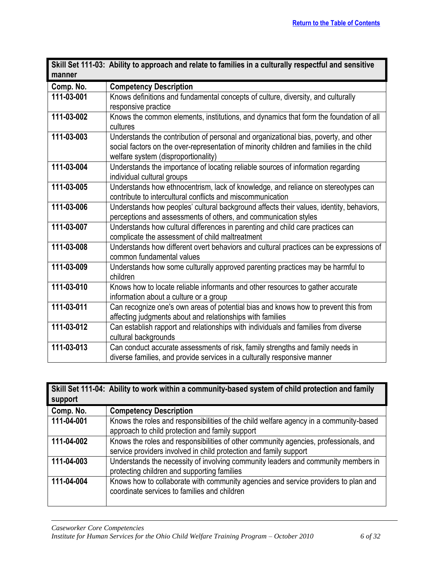<span id="page-5-0"></span>

|                  | Skill Set 111-03: Ability to approach and relate to families in a culturally respectful and sensitive |
|------------------|-------------------------------------------------------------------------------------------------------|
| manner           |                                                                                                       |
| Comp. No.        | <b>Competency Description</b>                                                                         |
| 111-03-001       | Knows definitions and fundamental concepts of culture, diversity, and culturally                      |
|                  | responsive practice                                                                                   |
| 111-03-002       | Knows the common elements, institutions, and dynamics that form the foundation of all                 |
|                  | cultures                                                                                              |
| 111-03-003       | Understands the contribution of personal and organizational bias, poverty, and other                  |
|                  | social factors on the over-representation of minority children and families in the child              |
|                  | welfare system (disproportionality)                                                                   |
| 111-03-004       | Understands the importance of locating reliable sources of information regarding                      |
|                  | individual cultural groups                                                                            |
| 111-03-005       | Understands how ethnocentrism, lack of knowledge, and reliance on stereotypes can                     |
|                  | contribute to intercultural conflicts and miscommunication                                            |
| 111-03-006       | Understands how peoples' cultural background affects their values, identity, behaviors,               |
|                  | perceptions and assessments of others, and communication styles                                       |
| 111-03-007       | Understands how cultural differences in parenting and child care practices can                        |
|                  | complicate the assessment of child maltreatment                                                       |
| 111-03-008       | Understands how different overt behaviors and cultural practices can be expressions of                |
|                  | common fundamental values                                                                             |
| $111 - 03 - 009$ | Understands how some culturally approved parenting practices may be harmful to                        |
|                  | children                                                                                              |
| 111-03-010       | Knows how to locate reliable informants and other resources to gather accurate                        |
|                  | information about a culture or a group                                                                |
| 111-03-011       | Can recognize one's own areas of potential bias and knows how to prevent this from                    |
|                  | affecting judgments about and relationships with families                                             |
| 111-03-012       | Can establish rapport and relationships with individuals and families from diverse                    |
|                  | cultural backgrounds                                                                                  |
| 111-03-013       | Can conduct accurate assessments of risk, family strengths and family needs in                        |
|                  | diverse families, and provide services in a culturally responsive manner                              |

<span id="page-5-1"></span>

| support    | Skill Set 111-04: Ability to work within a community-based system of child protection and family                                                          |
|------------|-----------------------------------------------------------------------------------------------------------------------------------------------------------|
| Comp. No.  | <b>Competency Description</b>                                                                                                                             |
| 111-04-001 | Knows the roles and responsibilities of the child welfare agency in a community-based<br>approach to child protection and family support                  |
| 111-04-002 | Knows the roles and responsibilities of other community agencies, professionals, and<br>service providers involved in child protection and family support |
| 111-04-003 | Understands the necessity of involving community leaders and community members in<br>protecting children and supporting families                          |
| 111-04-004 | Knows how to collaborate with community agencies and service providers to plan and<br>coordinate services to families and children                        |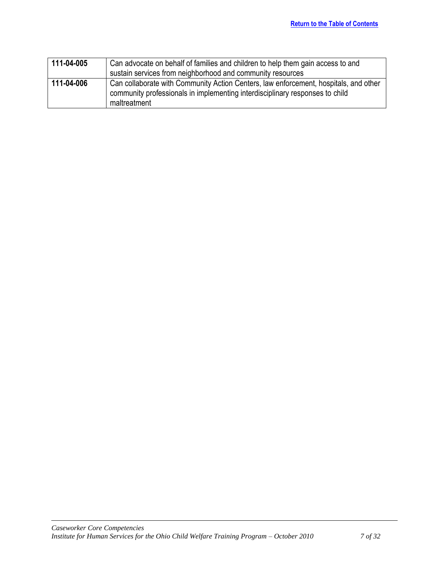| 111-04-005 | Can advocate on behalf of families and children to help them gain access to and                                                                                                      |
|------------|--------------------------------------------------------------------------------------------------------------------------------------------------------------------------------------|
|            | sustain services from neighborhood and community resources                                                                                                                           |
| 111-04-006 | Can collaborate with Community Action Centers, law enforcement, hospitals, and other<br>community professionals in implementing interdisciplinary responses to child<br>maltreatment |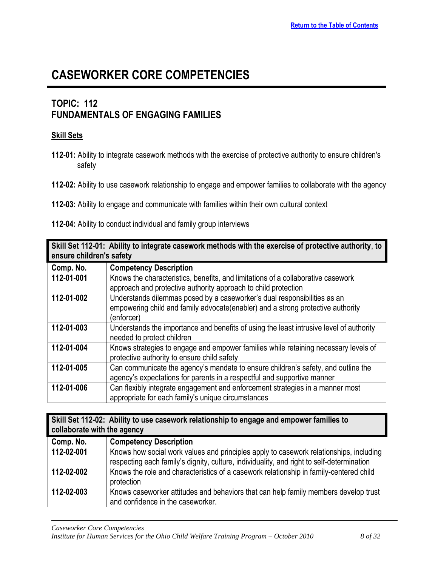## <span id="page-7-0"></span>**TOPIC: 112 FUNDAMENTALS OF ENGAGING FAMILIES**

### **Skill Sets**

- **112-01:** Ability to integrate casework methods with the exercise of protective authority to ensure children's safety
- **112-02:** Ability to use casework relationship to engage and empower families to collaborate with the agency

**112-04:** Ability to conduct individual and family group interviews

<span id="page-7-1"></span>

| Skill Set 112-01: Ability to integrate casework methods with the exercise of protective authority, to<br>ensure children's safety |                                                                                                                                                                            |
|-----------------------------------------------------------------------------------------------------------------------------------|----------------------------------------------------------------------------------------------------------------------------------------------------------------------------|
| Comp. No.                                                                                                                         | <b>Competency Description</b>                                                                                                                                              |
| 112-01-001                                                                                                                        | Knows the characteristics, benefits, and limitations of a collaborative casework<br>approach and protective authority approach to child protection                         |
| 112-01-002                                                                                                                        | Understands dilemmas posed by a caseworker's dual responsibilities as an<br>empowering child and family advocate (enabler) and a strong protective authority<br>(enforcer) |
| 112-01-003                                                                                                                        | Understands the importance and benefits of using the least intrusive level of authority<br>needed to protect children                                                      |
| 112-01-004                                                                                                                        | Knows strategies to engage and empower families while retaining necessary levels of<br>protective authority to ensure child safety                                         |
| 112-01-005                                                                                                                        | Can communicate the agency's mandate to ensure children's safety, and outline the<br>agency's expectations for parents in a respectful and supportive manner               |
| 112-01-006                                                                                                                        | Can flexibly integrate engagement and enforcement strategies in a manner most<br>appropriate for each family's unique circumstances                                        |

<span id="page-7-2"></span>

| Skill Set 112-02: Ability to use casework relationship to engage and empower families to<br>collaborate with the agency |                                                                                                                                                                                     |
|-------------------------------------------------------------------------------------------------------------------------|-------------------------------------------------------------------------------------------------------------------------------------------------------------------------------------|
|                                                                                                                         |                                                                                                                                                                                     |
| Comp. No.                                                                                                               | <b>Competency Description</b>                                                                                                                                                       |
| 112-02-001                                                                                                              | Knows how social work values and principles apply to casework relationships, including<br>respecting each family's dignity, culture, individuality, and right to self-determination |
| 112-02-002                                                                                                              | Knows the role and characteristics of a casework relationship in family-centered child<br>protection                                                                                |
| 112-02-003                                                                                                              | Knows caseworker attitudes and behaviors that can help family members develop trust<br>and confidence in the caseworker.                                                            |

**<sup>112-03:</sup>** Ability to engage and communicate with families within their own cultural context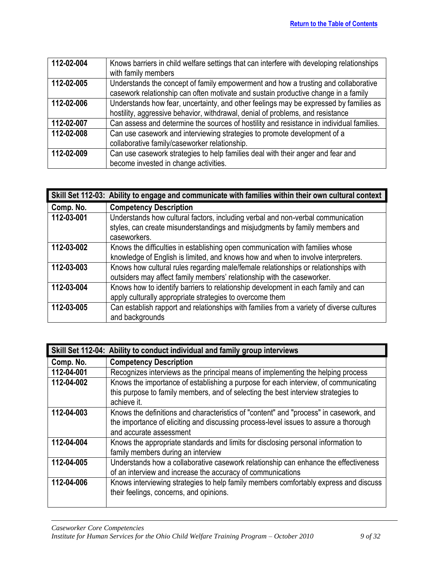| 112-02-004 | Knows barriers in child welfare settings that can interfere with developing relationships |
|------------|-------------------------------------------------------------------------------------------|
|            | with family members                                                                       |
| 112-02-005 | Understands the concept of family empowerment and how a trusting and collaborative        |
|            | casework relationship can often motivate and sustain productive change in a family        |
| 112-02-006 | Understands how fear, uncertainty, and other feelings may be expressed by families as     |
|            | hostility, aggressive behavior, withdrawal, denial of problems, and resistance            |
| 112-02-007 | Can assess and determine the sources of hostility and resistance in individual families.  |
| 112-02-008 | Can use casework and interviewing strategies to promote development of a                  |
|            | collaborative family/caseworker relationship.                                             |
| 112-02-009 | Can use casework strategies to help families deal with their anger and fear and           |
|            | become invested in change activities.                                                     |

<span id="page-8-0"></span>

|            | Skill Set 112-03: Ability to engage and communicate with families within their own cultural context                                                                            |
|------------|--------------------------------------------------------------------------------------------------------------------------------------------------------------------------------|
| Comp. No.  | <b>Competency Description</b>                                                                                                                                                  |
| 112-03-001 | Understands how cultural factors, including verbal and non-verbal communication<br>styles, can create misunderstandings and misjudgments by family members and<br>caseworkers. |
| 112-03-002 | Knows the difficulties in establishing open communication with families whose<br>knowledge of English is limited, and knows how and when to involve interpreters.              |
| 112-03-003 | Knows how cultural rules regarding male/female relationships or relationships with<br>outsiders may affect family members' relationship with the caseworker.                   |
| 112-03-004 | Knows how to identify barriers to relationship development in each family and can<br>apply culturally appropriate strategies to overcome them                                  |
| 112-03-005 | Can establish rapport and relationships with families from a variety of diverse cultures<br>and backgrounds                                                                    |

<span id="page-8-1"></span>

| Skill Set 112-04: Ability to conduct individual and family group interviews |                                                                                                                                                                                                          |
|-----------------------------------------------------------------------------|----------------------------------------------------------------------------------------------------------------------------------------------------------------------------------------------------------|
| Comp. No.                                                                   | <b>Competency Description</b>                                                                                                                                                                            |
| 112-04-001                                                                  | Recognizes interviews as the principal means of implementing the helping process                                                                                                                         |
| 112-04-002                                                                  | Knows the importance of establishing a purpose for each interview, of communicating<br>this purpose to family members, and of selecting the best interview strategies to<br>achieve it.                  |
| 112-04-003                                                                  | Knows the definitions and characteristics of "content" and "process" in casework, and<br>the importance of eliciting and discussing process-level issues to assure a thorough<br>and accurate assessment |
| 112-04-004                                                                  | Knows the appropriate standards and limits for disclosing personal information to<br>family members during an interview                                                                                  |
| 112-04-005                                                                  | Understands how a collaborative casework relationship can enhance the effectiveness<br>of an interview and increase the accuracy of communications                                                       |
| 112-04-006                                                                  | Knows interviewing strategies to help family members comfortably express and discuss<br>their feelings, concerns, and opinions.                                                                          |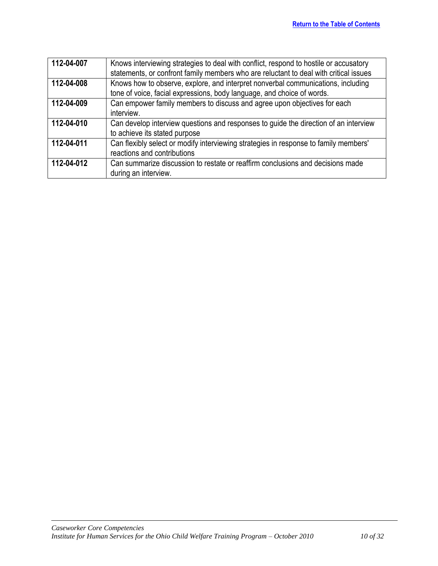| 112-04-007 | Knows interviewing strategies to deal with conflict, respond to hostile or accusatory |
|------------|---------------------------------------------------------------------------------------|
|            | statements, or confront family members who are reluctant to deal with critical issues |
| 112-04-008 | Knows how to observe, explore, and interpret nonverbal communications, including      |
|            | tone of voice, facial expressions, body language, and choice of words.                |
| 112-04-009 | Can empower family members to discuss and agree upon objectives for each              |
|            | interview.                                                                            |
| 112-04-010 | Can develop interview questions and responses to guide the direction of an interview  |
|            | to achieve its stated purpose                                                         |
| 112-04-011 | Can flexibly select or modify interviewing strategies in response to family members'  |
|            | reactions and contributions                                                           |
| 112-04-012 | Can summarize discussion to restate or reaffirm conclusions and decisions made        |
|            | during an interview.                                                                  |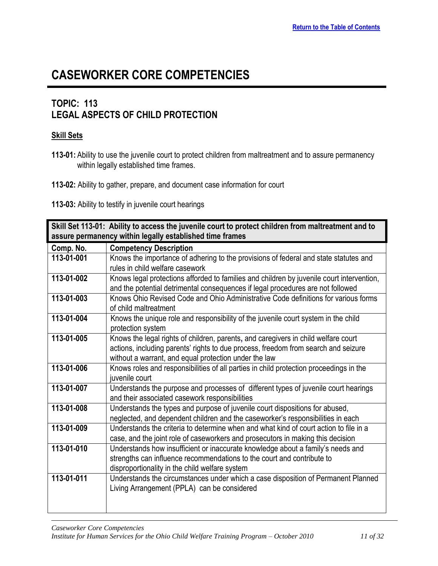### <span id="page-10-0"></span>**TOPIC: 113 LEGAL ASPECTS OF CHILD PROTECTION**

#### **Skill Sets**

**113-01:** Ability to use the juvenile court to protect children from maltreatment and to assure permanency within legally established time frames.

**113-02:** Ability to gather, prepare, and document case information for court

**113-03:** Ability to testify in juvenile court hearings

<span id="page-10-1"></span>

|                                                          | Skill Set 113-01: Ability to access the juvenile court to protect children from maltreatment and to |
|----------------------------------------------------------|-----------------------------------------------------------------------------------------------------|
| assure permanency within legally established time frames |                                                                                                     |
| Comp. No.                                                | <b>Competency Description</b>                                                                       |
| 113-01-001                                               | Knows the importance of adhering to the provisions of federal and state statutes and                |
|                                                          | rules in child welfare casework                                                                     |
| 113-01-002                                               | Knows legal protections afforded to families and children by juvenile court intervention,           |
|                                                          | and the potential detrimental consequences if legal procedures are not followed                     |
| 113-01-003                                               | Knows Ohio Revised Code and Ohio Administrative Code definitions for various forms                  |
|                                                          | of child maltreatment                                                                               |
| 113-01-004                                               | Knows the unique role and responsibility of the juvenile court system in the child                  |
|                                                          | protection system                                                                                   |
| 113-01-005                                               | Knows the legal rights of children, parents, and caregivers in child welfare court                  |
|                                                          | actions, including parents' rights to due process, freedom from search and seizure                  |
|                                                          | without a warrant, and equal protection under the law                                               |
| 113-01-006                                               | Knows roles and responsibilities of all parties in child protection proceedings in the              |
|                                                          | juvenile court                                                                                      |
| 113-01-007                                               | Understands the purpose and processes of different types of juvenile court hearings                 |
|                                                          | and their associated casework responsibilities                                                      |
| 113-01-008                                               | Understands the types and purpose of juvenile court dispositions for abused,                        |
|                                                          | neglected, and dependent children and the caseworker's responsibilities in each                     |
| 113-01-009                                               | Understands the criteria to determine when and what kind of court action to file in a               |
|                                                          | case, and the joint role of caseworkers and prosecutors in making this decision                     |
| 113-01-010                                               | Understands how insufficient or inaccurate knowledge about a family's needs and                     |
|                                                          | strengths can influence recommendations to the court and contribute to                              |
|                                                          | disproportionality in the child welfare system                                                      |
| 113-01-011                                               | Understands the circumstances under which a case disposition of Permanent Planned                   |
|                                                          | Living Arrangement (PPLA) can be considered                                                         |
|                                                          |                                                                                                     |
|                                                          |                                                                                                     |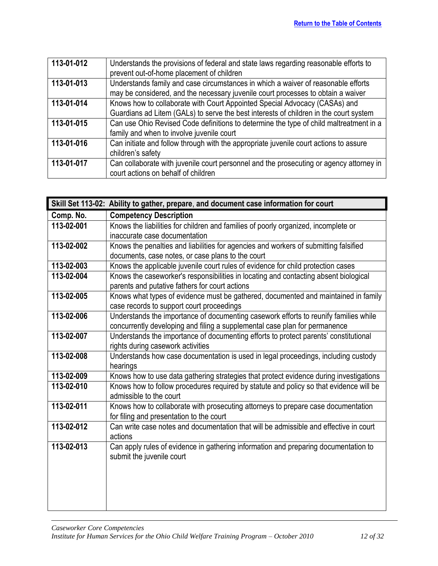| 113-01-012 | Understands the provisions of federal and state laws regarding reasonable efforts to<br>prevent out-of-home placement of children                                     |
|------------|-----------------------------------------------------------------------------------------------------------------------------------------------------------------------|
| 113-01-013 | Understands family and case circumstances in which a waiver of reasonable efforts<br>may be considered, and the necessary juvenile court processes to obtain a waiver |
| 113-01-014 | Knows how to collaborate with Court Appointed Special Advocacy (CASAs) and                                                                                            |
|            | Guardians ad Litem (GALs) to serve the best interests of children in the court system                                                                                 |
| 113-01-015 | Can use Ohio Revised Code definitions to determine the type of child maltreatment in a                                                                                |
|            | family and when to involve juvenile court                                                                                                                             |
| 113-01-016 | Can initiate and follow through with the appropriate juvenile court actions to assure                                                                                 |
|            | children's safety                                                                                                                                                     |
| 113-01-017 | Can collaborate with juvenile court personnel and the prosecuting or agency attorney in                                                                               |
|            | court actions on behalf of children                                                                                                                                   |

<span id="page-11-0"></span>

|            | Skill Set 113-02: Ability to gather, prepare, and document case information for court                                                  |
|------------|----------------------------------------------------------------------------------------------------------------------------------------|
| Comp. No.  | <b>Competency Description</b>                                                                                                          |
| 113-02-001 | Knows the liabilities for children and families of poorly organized, incomplete or                                                     |
|            | inaccurate case documentation                                                                                                          |
| 113-02-002 | Knows the penalties and liabilities for agencies and workers of submitting falsified                                                   |
|            | documents, case notes, or case plans to the court                                                                                      |
| 113-02-003 | Knows the applicable juvenile court rules of evidence for child protection cases                                                       |
| 113-02-004 | Knows the caseworker's responsibilities in locating and contacting absent biological<br>parents and putative fathers for court actions |
| 113-02-005 | Knows what types of evidence must be gathered, documented and maintained in family                                                     |
|            | case records to support court proceedings                                                                                              |
| 113-02-006 | Understands the importance of documenting casework efforts to reunify families while                                                   |
|            | concurrently developing and filing a supplemental case plan for permanence                                                             |
| 113-02-007 | Understands the importance of documenting efforts to protect parents' constitutional                                                   |
|            | rights during casework activities                                                                                                      |
| 113-02-008 | Understands how case documentation is used in legal proceedings, including custody                                                     |
|            | hearings                                                                                                                               |
| 113-02-009 | Knows how to use data gathering strategies that protect evidence during investigations                                                 |
| 113-02-010 | Knows how to follow procedures required by statute and policy so that evidence will be<br>admissible to the court                      |
| 113-02-011 | Knows how to collaborate with prosecuting attorneys to prepare case documentation<br>for filing and presentation to the court          |
| 113-02-012 | Can write case notes and documentation that will be admissible and effective in court<br>actions                                       |
| 113-02-013 | Can apply rules of evidence in gathering information and preparing documentation to<br>submit the juvenile court                       |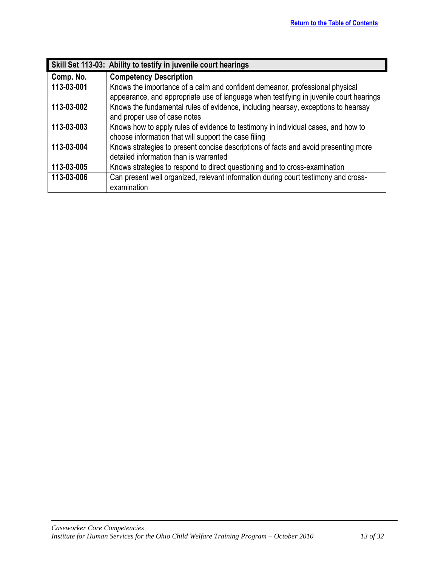<span id="page-12-0"></span>

|            | Skill Set 113-03: Ability to testify in juvenile court hearings                                                                                                        |
|------------|------------------------------------------------------------------------------------------------------------------------------------------------------------------------|
| Comp. No.  | <b>Competency Description</b>                                                                                                                                          |
| 113-03-001 | Knows the importance of a calm and confident demeanor, professional physical<br>appearance, and appropriate use of language when testifying in juvenile court hearings |
| 113-03-002 | Knows the fundamental rules of evidence, including hearsay, exceptions to hearsay<br>and proper use of case notes                                                      |
| 113-03-003 | Knows how to apply rules of evidence to testimony in individual cases, and how to<br>choose information that will support the case filing                              |
| 113-03-004 | Knows strategies to present concise descriptions of facts and avoid presenting more<br>detailed information than is warranted                                          |
| 113-03-005 | Knows strategies to respond to direct questioning and to cross-examination                                                                                             |
| 113-03-006 | Can present well organized, relevant information during court testimony and cross-<br>examination                                                                      |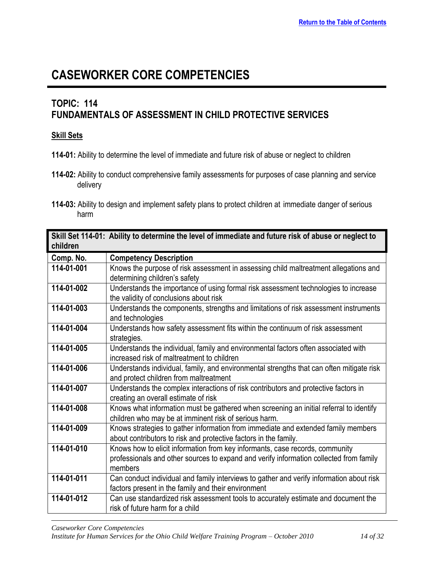### <span id="page-13-0"></span>**TOPIC: 114 FUNDAMENTALS OF ASSESSMENT IN CHILD PROTECTIVE SERVICES**

#### **Skill Sets**

- **114-01:** Ability to determine the level of immediate and future risk of abuse or neglect to children
- **114-02:** Ability to conduct comprehensive family assessments for purposes of case planning and service delivery
- **114-03:** Ability to design and implement safety plans to protect children at immediate danger of serious harm

<span id="page-13-1"></span>

| children   | Skill Set 114-01: Ability to determine the level of immediate and future risk of abuse or neglect to                                                                              |
|------------|-----------------------------------------------------------------------------------------------------------------------------------------------------------------------------------|
| Comp. No.  | <b>Competency Description</b>                                                                                                                                                     |
| 114-01-001 | Knows the purpose of risk assessment in assessing child maltreatment allegations and<br>determining children's safety                                                             |
| 114-01-002 | Understands the importance of using formal risk assessment technologies to increase<br>the validity of conclusions about risk                                                     |
| 114-01-003 | Understands the components, strengths and limitations of risk assessment instruments<br>and technologies                                                                          |
| 114-01-004 | Understands how safety assessment fits within the continuum of risk assessment<br>strategies.                                                                                     |
| 114-01-005 | Understands the individual, family and environmental factors often associated with<br>increased risk of maltreatment to children                                                  |
| 114-01-006 | Understands individual, family, and environmental strengths that can often mitigate risk<br>and protect children from maltreatment                                                |
| 114-01-007 | Understands the complex interactions of risk contributors and protective factors in<br>creating an overall estimate of risk                                                       |
| 114-01-008 | Knows what information must be gathered when screening an initial referral to identify<br>children who may be at imminent risk of serious harm.                                   |
| 114-01-009 | Knows strategies to gather information from immediate and extended family members<br>about contributors to risk and protective factors in the family.                             |
| 114-01-010 | Knows how to elicit information from key informants, case records, community<br>professionals and other sources to expand and verify information collected from family<br>members |
| 114-01-011 | Can conduct individual and family interviews to gather and verify information about risk<br>factors present in the family and their environment                                   |
| 114-01-012 | Can use standardized risk assessment tools to accurately estimate and document the<br>risk of future harm for a child                                                             |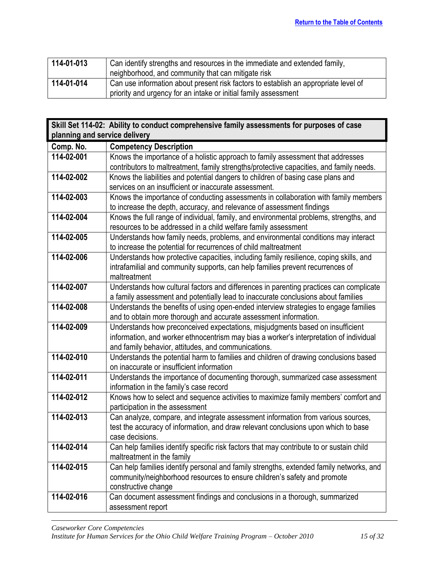| 114-01-013 | Can identify strengths and resources in the immediate and extended family,          |
|------------|-------------------------------------------------------------------------------------|
|            | neighborhood, and community that can mitigate risk                                  |
| 114-01-014 | Can use information about present risk factors to establish an appropriate level of |
|            | priority and urgency for an intake or initial family assessment                     |

<span id="page-14-0"></span>

| planning and service delivery<br>Comp. No.<br><b>Competency Description</b><br>114-02-001<br>Knows the importance of a holistic approach to family assessment that addresses<br>contributors to maltreatment, family strengths/protective capacities, and family needs.<br>114-02-002<br>Knows the liabilities and potential dangers to children of basing case plans and<br>services on an insufficient or inaccurate assessment.<br>114-02-003<br>Knows the importance of conducting assessments in collaboration with family members<br>to increase the depth, accuracy, and relevance of assessment findings<br>114-02-004<br>Knows the full range of individual, family, and environmental problems, strengths, and<br>resources to be addressed in a child welfare family assessment<br>114-02-005<br>Understands how family needs, problems, and environmental conditions may interact<br>to increase the potential for recurrences of child maltreatment<br>114-02-006<br>Understands how protective capacities, including family resilience, coping skills, and<br>intrafamilial and community supports, can help families prevent recurrences of<br>maltreatment<br>114-02-007<br>Understands how cultural factors and differences in parenting practices can complicate<br>a family assessment and potentially lead to inaccurate conclusions about families<br>114-02-008<br>Understands the benefits of using open-ended interview strategies to engage families<br>and to obtain more thorough and accurate assessment information.<br>114-02-009<br>Understands how preconceived expectations, misjudgments based on insufficient<br>information, and worker ethnocentrism may bias a worker's interpretation of individual<br>and family behavior, attitudes, and communications. |
|---------------------------------------------------------------------------------------------------------------------------------------------------------------------------------------------------------------------------------------------------------------------------------------------------------------------------------------------------------------------------------------------------------------------------------------------------------------------------------------------------------------------------------------------------------------------------------------------------------------------------------------------------------------------------------------------------------------------------------------------------------------------------------------------------------------------------------------------------------------------------------------------------------------------------------------------------------------------------------------------------------------------------------------------------------------------------------------------------------------------------------------------------------------------------------------------------------------------------------------------------------------------------------------------------------------------------------------------------------------------------------------------------------------------------------------------------------------------------------------------------------------------------------------------------------------------------------------------------------------------------------------------------------------------------------------------------------------------------------------------------------------------------------------------------|
|                                                                                                                                                                                                                                                                                                                                                                                                                                                                                                                                                                                                                                                                                                                                                                                                                                                                                                                                                                                                                                                                                                                                                                                                                                                                                                                                                                                                                                                                                                                                                                                                                                                                                                                                                                                                   |
|                                                                                                                                                                                                                                                                                                                                                                                                                                                                                                                                                                                                                                                                                                                                                                                                                                                                                                                                                                                                                                                                                                                                                                                                                                                                                                                                                                                                                                                                                                                                                                                                                                                                                                                                                                                                   |
|                                                                                                                                                                                                                                                                                                                                                                                                                                                                                                                                                                                                                                                                                                                                                                                                                                                                                                                                                                                                                                                                                                                                                                                                                                                                                                                                                                                                                                                                                                                                                                                                                                                                                                                                                                                                   |
|                                                                                                                                                                                                                                                                                                                                                                                                                                                                                                                                                                                                                                                                                                                                                                                                                                                                                                                                                                                                                                                                                                                                                                                                                                                                                                                                                                                                                                                                                                                                                                                                                                                                                                                                                                                                   |
|                                                                                                                                                                                                                                                                                                                                                                                                                                                                                                                                                                                                                                                                                                                                                                                                                                                                                                                                                                                                                                                                                                                                                                                                                                                                                                                                                                                                                                                                                                                                                                                                                                                                                                                                                                                                   |
|                                                                                                                                                                                                                                                                                                                                                                                                                                                                                                                                                                                                                                                                                                                                                                                                                                                                                                                                                                                                                                                                                                                                                                                                                                                                                                                                                                                                                                                                                                                                                                                                                                                                                                                                                                                                   |
|                                                                                                                                                                                                                                                                                                                                                                                                                                                                                                                                                                                                                                                                                                                                                                                                                                                                                                                                                                                                                                                                                                                                                                                                                                                                                                                                                                                                                                                                                                                                                                                                                                                                                                                                                                                                   |
|                                                                                                                                                                                                                                                                                                                                                                                                                                                                                                                                                                                                                                                                                                                                                                                                                                                                                                                                                                                                                                                                                                                                                                                                                                                                                                                                                                                                                                                                                                                                                                                                                                                                                                                                                                                                   |
|                                                                                                                                                                                                                                                                                                                                                                                                                                                                                                                                                                                                                                                                                                                                                                                                                                                                                                                                                                                                                                                                                                                                                                                                                                                                                                                                                                                                                                                                                                                                                                                                                                                                                                                                                                                                   |
|                                                                                                                                                                                                                                                                                                                                                                                                                                                                                                                                                                                                                                                                                                                                                                                                                                                                                                                                                                                                                                                                                                                                                                                                                                                                                                                                                                                                                                                                                                                                                                                                                                                                                                                                                                                                   |
|                                                                                                                                                                                                                                                                                                                                                                                                                                                                                                                                                                                                                                                                                                                                                                                                                                                                                                                                                                                                                                                                                                                                                                                                                                                                                                                                                                                                                                                                                                                                                                                                                                                                                                                                                                                                   |
|                                                                                                                                                                                                                                                                                                                                                                                                                                                                                                                                                                                                                                                                                                                                                                                                                                                                                                                                                                                                                                                                                                                                                                                                                                                                                                                                                                                                                                                                                                                                                                                                                                                                                                                                                                                                   |
|                                                                                                                                                                                                                                                                                                                                                                                                                                                                                                                                                                                                                                                                                                                                                                                                                                                                                                                                                                                                                                                                                                                                                                                                                                                                                                                                                                                                                                                                                                                                                                                                                                                                                                                                                                                                   |
|                                                                                                                                                                                                                                                                                                                                                                                                                                                                                                                                                                                                                                                                                                                                                                                                                                                                                                                                                                                                                                                                                                                                                                                                                                                                                                                                                                                                                                                                                                                                                                                                                                                                                                                                                                                                   |
|                                                                                                                                                                                                                                                                                                                                                                                                                                                                                                                                                                                                                                                                                                                                                                                                                                                                                                                                                                                                                                                                                                                                                                                                                                                                                                                                                                                                                                                                                                                                                                                                                                                                                                                                                                                                   |
|                                                                                                                                                                                                                                                                                                                                                                                                                                                                                                                                                                                                                                                                                                                                                                                                                                                                                                                                                                                                                                                                                                                                                                                                                                                                                                                                                                                                                                                                                                                                                                                                                                                                                                                                                                                                   |
|                                                                                                                                                                                                                                                                                                                                                                                                                                                                                                                                                                                                                                                                                                                                                                                                                                                                                                                                                                                                                                                                                                                                                                                                                                                                                                                                                                                                                                                                                                                                                                                                                                                                                                                                                                                                   |
|                                                                                                                                                                                                                                                                                                                                                                                                                                                                                                                                                                                                                                                                                                                                                                                                                                                                                                                                                                                                                                                                                                                                                                                                                                                                                                                                                                                                                                                                                                                                                                                                                                                                                                                                                                                                   |
|                                                                                                                                                                                                                                                                                                                                                                                                                                                                                                                                                                                                                                                                                                                                                                                                                                                                                                                                                                                                                                                                                                                                                                                                                                                                                                                                                                                                                                                                                                                                                                                                                                                                                                                                                                                                   |
|                                                                                                                                                                                                                                                                                                                                                                                                                                                                                                                                                                                                                                                                                                                                                                                                                                                                                                                                                                                                                                                                                                                                                                                                                                                                                                                                                                                                                                                                                                                                                                                                                                                                                                                                                                                                   |
|                                                                                                                                                                                                                                                                                                                                                                                                                                                                                                                                                                                                                                                                                                                                                                                                                                                                                                                                                                                                                                                                                                                                                                                                                                                                                                                                                                                                                                                                                                                                                                                                                                                                                                                                                                                                   |
|                                                                                                                                                                                                                                                                                                                                                                                                                                                                                                                                                                                                                                                                                                                                                                                                                                                                                                                                                                                                                                                                                                                                                                                                                                                                                                                                                                                                                                                                                                                                                                                                                                                                                                                                                                                                   |
| 114-02-010<br>Understands the potential harm to families and children of drawing conclusions based                                                                                                                                                                                                                                                                                                                                                                                                                                                                                                                                                                                                                                                                                                                                                                                                                                                                                                                                                                                                                                                                                                                                                                                                                                                                                                                                                                                                                                                                                                                                                                                                                                                                                                |
| on inaccurate or insufficient information                                                                                                                                                                                                                                                                                                                                                                                                                                                                                                                                                                                                                                                                                                                                                                                                                                                                                                                                                                                                                                                                                                                                                                                                                                                                                                                                                                                                                                                                                                                                                                                                                                                                                                                                                         |
| 114-02-011<br>Understands the importance of documenting thorough, summarized case assessment                                                                                                                                                                                                                                                                                                                                                                                                                                                                                                                                                                                                                                                                                                                                                                                                                                                                                                                                                                                                                                                                                                                                                                                                                                                                                                                                                                                                                                                                                                                                                                                                                                                                                                      |
| information in the family's case record                                                                                                                                                                                                                                                                                                                                                                                                                                                                                                                                                                                                                                                                                                                                                                                                                                                                                                                                                                                                                                                                                                                                                                                                                                                                                                                                                                                                                                                                                                                                                                                                                                                                                                                                                           |
| Knows how to select and sequence activities to maximize family members' comfort and<br>$114 - 02 - 012$                                                                                                                                                                                                                                                                                                                                                                                                                                                                                                                                                                                                                                                                                                                                                                                                                                                                                                                                                                                                                                                                                                                                                                                                                                                                                                                                                                                                                                                                                                                                                                                                                                                                                           |
| participation in the assessment                                                                                                                                                                                                                                                                                                                                                                                                                                                                                                                                                                                                                                                                                                                                                                                                                                                                                                                                                                                                                                                                                                                                                                                                                                                                                                                                                                                                                                                                                                                                                                                                                                                                                                                                                                   |
| 114-02-013<br>Can analyze, compare, and integrate assessment information from various sources,                                                                                                                                                                                                                                                                                                                                                                                                                                                                                                                                                                                                                                                                                                                                                                                                                                                                                                                                                                                                                                                                                                                                                                                                                                                                                                                                                                                                                                                                                                                                                                                                                                                                                                    |
| test the accuracy of information, and draw relevant conclusions upon which to base                                                                                                                                                                                                                                                                                                                                                                                                                                                                                                                                                                                                                                                                                                                                                                                                                                                                                                                                                                                                                                                                                                                                                                                                                                                                                                                                                                                                                                                                                                                                                                                                                                                                                                                |
| case decisions.<br>114-02-014<br>Can help families identify specific risk factors that may contribute to or sustain child                                                                                                                                                                                                                                                                                                                                                                                                                                                                                                                                                                                                                                                                                                                                                                                                                                                                                                                                                                                                                                                                                                                                                                                                                                                                                                                                                                                                                                                                                                                                                                                                                                                                         |
| maltreatment in the family                                                                                                                                                                                                                                                                                                                                                                                                                                                                                                                                                                                                                                                                                                                                                                                                                                                                                                                                                                                                                                                                                                                                                                                                                                                                                                                                                                                                                                                                                                                                                                                                                                                                                                                                                                        |
| 114-02-015<br>Can help families identify personal and family strengths, extended family networks, and                                                                                                                                                                                                                                                                                                                                                                                                                                                                                                                                                                                                                                                                                                                                                                                                                                                                                                                                                                                                                                                                                                                                                                                                                                                                                                                                                                                                                                                                                                                                                                                                                                                                                             |
|                                                                                                                                                                                                                                                                                                                                                                                                                                                                                                                                                                                                                                                                                                                                                                                                                                                                                                                                                                                                                                                                                                                                                                                                                                                                                                                                                                                                                                                                                                                                                                                                                                                                                                                                                                                                   |
| community/neighborhood resources to ensure children's safety and promote<br>constructive change                                                                                                                                                                                                                                                                                                                                                                                                                                                                                                                                                                                                                                                                                                                                                                                                                                                                                                                                                                                                                                                                                                                                                                                                                                                                                                                                                                                                                                                                                                                                                                                                                                                                                                   |
| Can document assessment findings and conclusions in a thorough, summarized<br>114-02-016                                                                                                                                                                                                                                                                                                                                                                                                                                                                                                                                                                                                                                                                                                                                                                                                                                                                                                                                                                                                                                                                                                                                                                                                                                                                                                                                                                                                                                                                                                                                                                                                                                                                                                          |
| assessment report                                                                                                                                                                                                                                                                                                                                                                                                                                                                                                                                                                                                                                                                                                                                                                                                                                                                                                                                                                                                                                                                                                                                                                                                                                                                                                                                                                                                                                                                                                                                                                                                                                                                                                                                                                                 |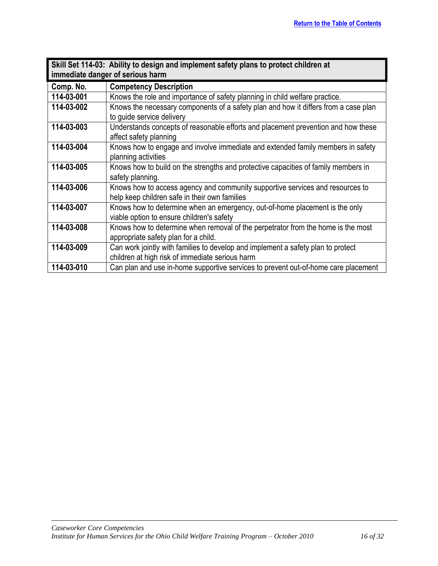<span id="page-15-0"></span>

|            | Skill Set 114-03: Ability to design and implement safety plans to protect children at |
|------------|---------------------------------------------------------------------------------------|
|            | immediate danger of serious harm                                                      |
| Comp. No.  | <b>Competency Description</b>                                                         |
| 114-03-001 | Knows the role and importance of safety planning in child welfare practice.           |
| 114-03-002 | Knows the necessary components of a safety plan and how it differs from a case plan   |
|            | to quide service delivery                                                             |
| 114-03-003 | Understands concepts of reasonable efforts and placement prevention and how these     |
|            | affect safety planning                                                                |
| 114-03-004 | Knows how to engage and involve immediate and extended family members in safety       |
|            | planning activities                                                                   |
| 114-03-005 | Knows how to build on the strengths and protective capacities of family members in    |
|            | safety planning.                                                                      |
| 114-03-006 | Knows how to access agency and community supportive services and resources to         |
|            | help keep children safe in their own families                                         |
| 114-03-007 | Knows how to determine when an emergency, out-of-home placement is the only           |
|            | viable option to ensure children's safety                                             |
| 114-03-008 | Knows how to determine when removal of the perpetrator from the home is the most      |
|            | appropriate safety plan for a child.                                                  |
| 114-03-009 | Can work jointly with families to develop and implement a safety plan to protect      |
|            | children at high risk of immediate serious harm                                       |
| 114-03-010 | Can plan and use in-home supportive services to prevent out-of-home care placement    |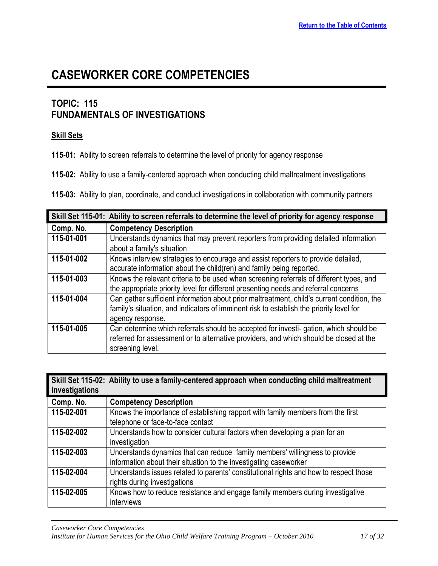### <span id="page-16-0"></span>**TOPIC: 115 FUNDAMENTALS OF INVESTIGATIONS**

#### **Skill Sets**

**115-01:** Ability to screen referrals to determine the level of priority for agency response

**115-02:** Ability to use a family-centered approach when conducting child maltreatment investigations

**115-03:** Ability to plan, coordinate, and conduct investigations in collaboration with community partners

<span id="page-16-1"></span>

|            | Skill Set 115-01: Ability to screen referrals to determine the level of priority for agency response                                                                                  |
|------------|---------------------------------------------------------------------------------------------------------------------------------------------------------------------------------------|
| Comp. No.  | <b>Competency Description</b>                                                                                                                                                         |
| 115-01-001 | Understands dynamics that may prevent reporters from providing detailed information                                                                                                   |
|            | about a family's situation                                                                                                                                                            |
| 115-01-002 | Knows interview strategies to encourage and assist reporters to provide detailed,<br>accurate information about the child(ren) and family being reported.                             |
| 115-01-003 | Knows the relevant criteria to be used when screening referrals of different types, and                                                                                               |
|            | the appropriate priority level for different presenting needs and referral concerns                                                                                                   |
| 115-01-004 | Can gather sufficient information about prior maltreatment, child's current condition, the<br>family's situation, and indicators of imminent risk to establish the priority level for |
|            | agency response.                                                                                                                                                                      |
| 115-01-005 | Can determine which referrals should be accepted for investi-gation, which should be                                                                                                  |
|            | referred for assessment or to alternative providers, and which should be closed at the                                                                                                |
|            | screening level.                                                                                                                                                                      |

<span id="page-16-2"></span>

| investigations | Skill Set 115-02: Ability to use a family-centered approach when conducting child maltreatment                                                   |
|----------------|--------------------------------------------------------------------------------------------------------------------------------------------------|
| Comp. No.      | <b>Competency Description</b>                                                                                                                    |
| 115-02-001     | Knows the importance of establishing rapport with family members from the first<br>telephone or face-to-face contact                             |
| 115-02-002     | Understands how to consider cultural factors when developing a plan for an<br>investigation                                                      |
| 115-02-003     | Understands dynamics that can reduce family members' willingness to provide<br>information about their situation to the investigating caseworker |
| 115-02-004     | Understands issues related to parents' constitutional rights and how to respect those<br>rights during investigations                            |
| 115-02-005     | Knows how to reduce resistance and engage family members during investigative<br>interviews                                                      |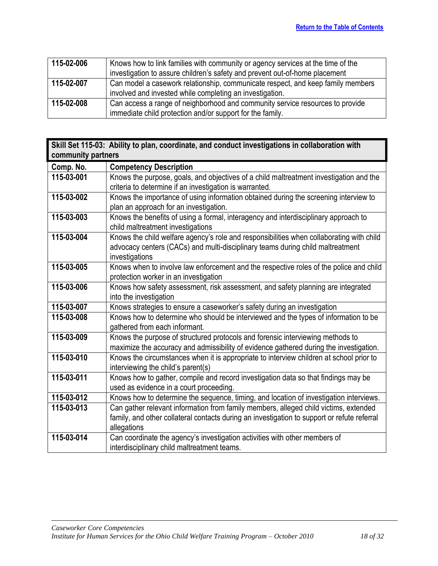| 115-02-006 | Knows how to link families with community or agency services at the time of the |
|------------|---------------------------------------------------------------------------------|
|            | investigation to assure children's safety and prevent out-of-home placement     |
| 115-02-007 | Can model a casework relationship, communicate respect, and keep family members |
|            | involved and invested while completing an investigation.                        |
| 115-02-008 | Can access a range of neighborhood and community service resources to provide   |
|            | immediate child protection and/or support for the family.                       |

<span id="page-17-0"></span>

|                    | Skill Set 115-03: Ability to plan, coordinate, and conduct investigations in collaboration with |
|--------------------|-------------------------------------------------------------------------------------------------|
| community partners |                                                                                                 |
| Comp. No.          | <b>Competency Description</b>                                                                   |
| 115-03-001         | Knows the purpose, goals, and objectives of a child maltreatment investigation and the          |
|                    | criteria to determine if an investigation is warranted.                                         |
| 115-03-002         | Knows the importance of using information obtained during the screening interview to            |
|                    | plan an approach for an investigation.                                                          |
| 115-03-003         | Knows the benefits of using a formal, interagency and interdisciplinary approach to             |
|                    | child maltreatment investigations                                                               |
| 115-03-004         | Knows the child welfare agency's role and responsibilities when collaborating with child        |
|                    | advocacy centers (CACs) and multi-disciplinary teams during child maltreatment                  |
|                    | investigations                                                                                  |
| 115-03-005         | Knows when to involve law enforcement and the respective roles of the police and child          |
|                    | protection worker in an investigation                                                           |
| 115-03-006         | Knows how safety assessment, risk assessment, and safety planning are integrated                |
|                    | into the investigation                                                                          |
| 115-03-007         | Knows strategies to ensure a caseworker's safety during an investigation                        |
| 115-03-008         | Knows how to determine who should be interviewed and the types of information to be             |
|                    | gathered from each informant.                                                                   |
| 115-03-009         | Knows the purpose of structured protocols and forensic interviewing methods to                  |
|                    | maximize the accuracy and admissibility of evidence gathered during the investigation.          |
| 115-03-010         | Knows the circumstances when it is appropriate to interview children at school prior to         |
|                    | interviewing the child's parent(s)                                                              |
| 115-03-011         | Knows how to gather, compile and record investigation data so that findings may be              |
|                    | used as evidence in a court proceeding.                                                         |
| 115-03-012         | Knows how to determine the sequence, timing, and location of investigation interviews.          |
| 115-03-013         | Can gather relevant information from family members, alleged child victims, extended            |
|                    | family, and other collateral contacts during an investigation to support or refute referral     |
|                    | allegations                                                                                     |
| 115-03-014         | Can coordinate the agency's investigation activities with other members of                      |
|                    | interdisciplinary child maltreatment teams.                                                     |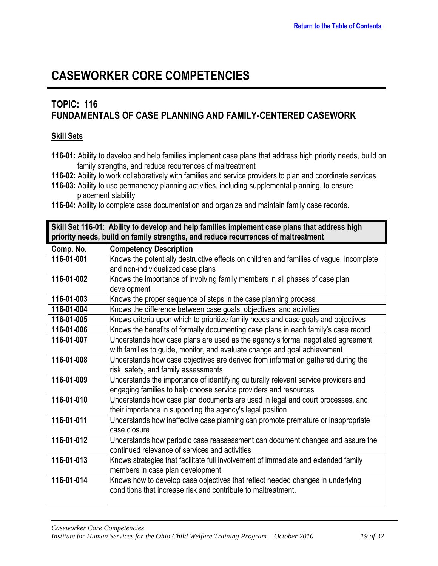### **TOPIC: 116 FUNDAMENTALS OF CASE PLANNING AND FAMILY-CENTERED CASEWORK**

#### **Skill Sets**

- **116-01:** Ability to develop and help families implement case plans that address high priority needs, build on family strengths, and reduce recurrences of maltreatment
- **116-02:** Ability to work collaboratively with families and service providers to plan and coordinate services
- **116-03:** Ability to use permanency planning activities, including supplemental planning, to ensure placement stability
- **116-04:** Ability to complete case documentation and organize and maintain family case records.

<span id="page-18-0"></span>

| Skill Set 116-01: Ability to develop and help families implement case plans that address high |                                                                                         |
|-----------------------------------------------------------------------------------------------|-----------------------------------------------------------------------------------------|
| priority needs, build on family strengths, and reduce recurrences of maltreatment             |                                                                                         |
| Comp. No.                                                                                     | <b>Competency Description</b>                                                           |
| 116-01-001                                                                                    | Knows the potentially destructive effects on children and families of vague, incomplete |
|                                                                                               | and non-individualized case plans                                                       |
| 116-01-002                                                                                    | Knows the importance of involving family members in all phases of case plan             |
|                                                                                               | development                                                                             |
| 116-01-003                                                                                    | Knows the proper sequence of steps in the case planning process                         |
| 116-01-004                                                                                    | Knows the difference between case goals, objectives, and activities                     |
| 116-01-005                                                                                    | Knows criteria upon which to prioritize family needs and case goals and objectives      |
| 116-01-006                                                                                    | Knows the benefits of formally documenting case plans in each family's case record      |
| 116-01-007                                                                                    | Understands how case plans are used as the agency's formal negotiated agreement         |
|                                                                                               | with families to guide, monitor, and evaluate change and goal achievement               |
| 116-01-008                                                                                    | Understands how case objectives are derived from information gathered during the        |
|                                                                                               | risk, safety, and family assessments                                                    |
| 116-01-009                                                                                    | Understands the importance of identifying culturally relevant service providers and     |
|                                                                                               | engaging families to help choose service providers and resources                        |
| 116-01-010                                                                                    | Understands how case plan documents are used in legal and court processes, and          |
|                                                                                               | their importance in supporting the agency's legal position                              |
| 116-01-011                                                                                    | Understands how ineffective case planning can promote premature or inappropriate        |
|                                                                                               | case closure                                                                            |
| 116-01-012                                                                                    | Understands how periodic case reassessment can document changes and assure the          |
|                                                                                               | continued relevance of services and activities                                          |
| 116-01-013                                                                                    | Knows strategies that facilitate full involvement of immediate and extended family      |
|                                                                                               | members in case plan development                                                        |
| 116-01-014                                                                                    | Knows how to develop case objectives that reflect needed changes in underlying          |
|                                                                                               | conditions that increase risk and contribute to maltreatment.                           |
|                                                                                               |                                                                                         |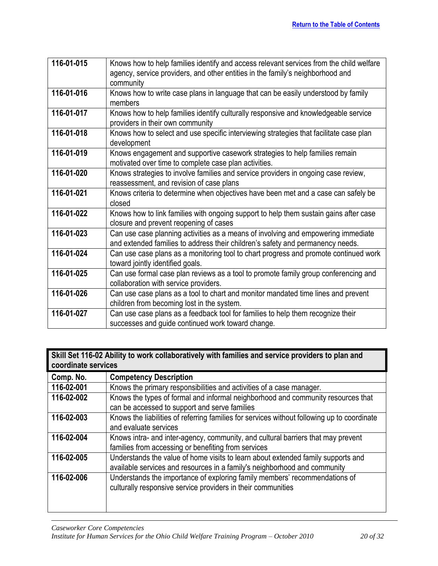| 116-01-015 | Knows how to help families identify and access relevant services from the child welfare<br>agency, service providers, and other entities in the family's neighborhood and<br>community |
|------------|----------------------------------------------------------------------------------------------------------------------------------------------------------------------------------------|
| 116-01-016 | Knows how to write case plans in language that can be easily understood by family<br>members                                                                                           |
| 116-01-017 | Knows how to help families identify culturally responsive and knowledgeable service<br>providers in their own community                                                                |
| 116-01-018 | Knows how to select and use specific interviewing strategies that facilitate case plan<br>development                                                                                  |
| 116-01-019 | Knows engagement and supportive casework strategies to help families remain<br>motivated over time to complete case plan activities.                                                   |
| 116-01-020 | Knows strategies to involve families and service providers in ongoing case review,<br>reassessment, and revision of case plans                                                         |
| 116-01-021 | Knows criteria to determine when objectives have been met and a case can safely be<br>closed                                                                                           |
| 116-01-022 | Knows how to link families with ongoing support to help them sustain gains after case<br>closure and prevent reopening of cases                                                        |
| 116-01-023 | Can use case planning activities as a means of involving and empowering immediate<br>and extended families to address their children's safety and permanency needs.                    |
| 116-01-024 | Can use case plans as a monitoring tool to chart progress and promote continued work<br>toward jointly identified goals.                                                               |
| 116-01-025 | Can use formal case plan reviews as a tool to promote family group conferencing and<br>collaboration with service providers.                                                           |
| 116-01-026 | Can use case plans as a tool to chart and monitor mandated time lines and prevent<br>children from becoming lost in the system.                                                        |
| 116-01-027 | Can use case plans as a feedback tool for families to help them recognize their<br>successes and guide continued work toward change.                                                   |

<span id="page-19-0"></span>

| Skill Set 116-02 Ability to work collaboratively with families and service providers to plan and<br>coordinate services |                                                                                             |
|-------------------------------------------------------------------------------------------------------------------------|---------------------------------------------------------------------------------------------|
| Comp. No.                                                                                                               | <b>Competency Description</b>                                                               |
| 116-02-001                                                                                                              | Knows the primary responsibilities and activities of a case manager.                        |
| 116-02-002                                                                                                              | Knows the types of formal and informal neighborhood and community resources that            |
|                                                                                                                         | can be accessed to support and serve families                                               |
| 116-02-003                                                                                                              | Knows the liabilities of referring families for services without following up to coordinate |
|                                                                                                                         | and evaluate services                                                                       |
| 116-02-004                                                                                                              | Knows intra- and inter-agency, community, and cultural barriers that may prevent            |
|                                                                                                                         | families from accessing or benefiting from services                                         |
| 116-02-005                                                                                                              | Understands the value of home visits to learn about extended family supports and            |
|                                                                                                                         | available services and resources in a family's neighborhood and community                   |
| 116-02-006                                                                                                              | Understands the importance of exploring family members' recommendations of                  |
|                                                                                                                         | culturally responsive service providers in their communities                                |
|                                                                                                                         |                                                                                             |
|                                                                                                                         |                                                                                             |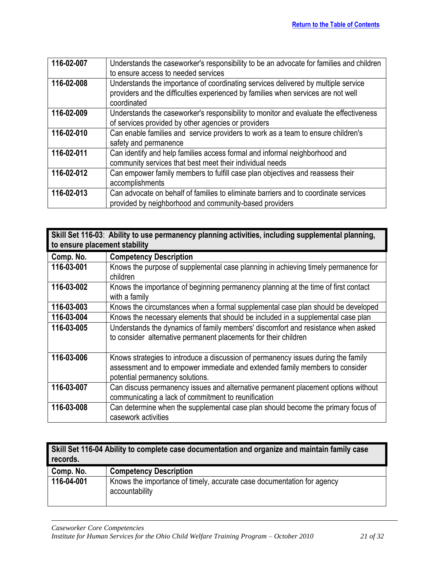| 116-02-007 | Understands the caseworker's responsibility to be an advocate for families and children |
|------------|-----------------------------------------------------------------------------------------|
|            | to ensure access to needed services                                                     |
| 116-02-008 | Understands the importance of coordinating services delivered by multiple service       |
|            | providers and the difficulties experienced by families when services are not well       |
|            | coordinated                                                                             |
| 116-02-009 | Understands the caseworker's responsibility to monitor and evaluate the effectiveness   |
|            | of services provided by other agencies or providers                                     |
| 116-02-010 | Can enable families and service providers to work as a team to ensure children's        |
|            | safety and permanence                                                                   |
| 116-02-011 | Can identify and help families access formal and informal neighborhood and              |
|            | community services that best meet their individual needs                                |
| 116-02-012 | Can empower family members to fulfill case plan objectives and reassess their           |
|            | accomplishments                                                                         |
| 116-02-013 | Can advocate on behalf of families to eliminate barriers and to coordinate services     |
|            | provided by neighborhood and community-based providers                                  |
|            |                                                                                         |

<span id="page-20-0"></span>

| Skill Set 116-03: Ability to use permanency planning activities, including supplemental planning,<br>to ensure placement stability |                                                                                                                                                                                                     |
|------------------------------------------------------------------------------------------------------------------------------------|-----------------------------------------------------------------------------------------------------------------------------------------------------------------------------------------------------|
| Comp. No.                                                                                                                          | <b>Competency Description</b>                                                                                                                                                                       |
| 116-03-001                                                                                                                         | Knows the purpose of supplemental case planning in achieving timely permanence for<br>children                                                                                                      |
| 116-03-002                                                                                                                         | Knows the importance of beginning permanency planning at the time of first contact<br>with a family                                                                                                 |
| 116-03-003                                                                                                                         | Knows the circumstances when a formal supplemental case plan should be developed                                                                                                                    |
| 116-03-004                                                                                                                         | Knows the necessary elements that should be included in a supplemental case plan                                                                                                                    |
| 116-03-005                                                                                                                         | Understands the dynamics of family members' discomfort and resistance when asked<br>to consider alternative permanent placements for their children                                                 |
| 116-03-006                                                                                                                         | Knows strategies to introduce a discussion of permanency issues during the family<br>assessment and to empower immediate and extended family members to consider<br>potential permanency solutions. |
| 116-03-007                                                                                                                         | Can discuss permanency issues and alternative permanent placement options without<br>communicating a lack of commitment to reunification                                                            |
| 116-03-008                                                                                                                         | Can determine when the supplemental case plan should become the primary focus of<br>casework activities                                                                                             |

<span id="page-20-1"></span>

| Skill Set 116-04 Ability to complete case documentation and organize and maintain family case<br>records. |                                                                                          |
|-----------------------------------------------------------------------------------------------------------|------------------------------------------------------------------------------------------|
| Comp. No.                                                                                                 | <b>Competency Description</b>                                                            |
| 116-04-001                                                                                                | Knows the importance of timely, accurate case documentation for agency<br>accountability |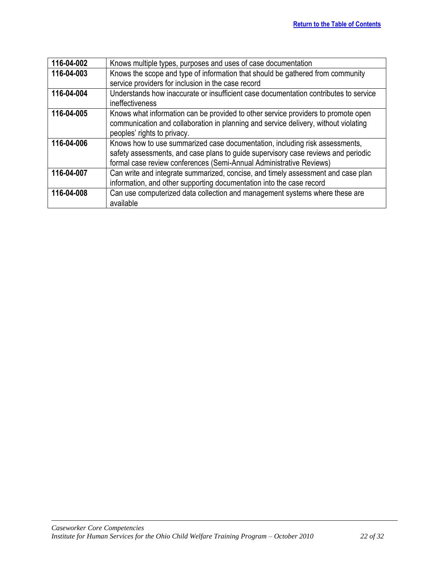| 116-04-002 | Knows multiple types, purposes and uses of case documentation                        |
|------------|--------------------------------------------------------------------------------------|
| 116-04-003 | Knows the scope and type of information that should be gathered from community       |
|            | service providers for inclusion in the case record                                   |
| 116-04-004 | Understands how inaccurate or insufficient case documentation contributes to service |
|            | <i>ineffectiveness</i>                                                               |
| 116-04-005 | Knows what information can be provided to other service providers to promote open    |
|            | communication and collaboration in planning and service delivery, without violating  |
|            | peoples' rights to privacy.                                                          |
| 116-04-006 | Knows how to use summarized case documentation, including risk assessments,          |
|            | safety assessments, and case plans to guide supervisory case reviews and periodic    |
|            | formal case review conferences (Semi-Annual Administrative Reviews)                  |
| 116-04-007 | Can write and integrate summarized, concise, and timely assessment and case plan     |
|            | information, and other supporting documentation into the case record                 |
| 116-04-008 | Can use computerized data collection and management systems where these are          |
|            | available                                                                            |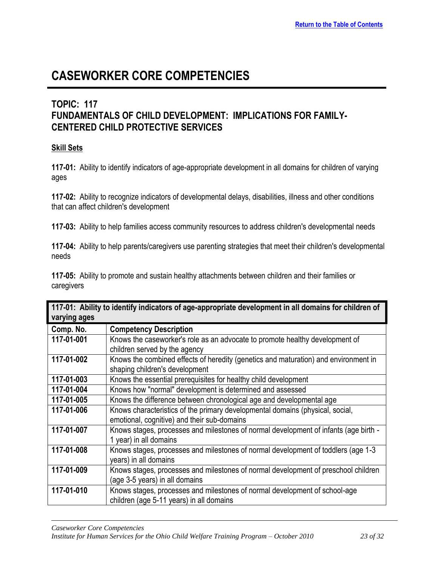### <span id="page-22-0"></span>**TOPIC: 117 FUNDAMENTALS OF CHILD DEVELOPMENT: IMPLICATIONS FOR FAMILY-CENTERED CHILD PROTECTIVE SERVICES**

#### **Skill Sets**

**117-01:** Ability to identify indicators of age-appropriate development in all domains for children of varying ages

**117-02:** Ability to recognize indicators of developmental delays, disabilities, illness and other conditions that can affect children's development

**117-03:** Ability to help families access community resources to address children's developmental needs

**117-04:** Ability to help parents/caregivers use parenting strategies that meet their children's developmental needs

**117-05:** Ability to promote and sustain healthy attachments between children and their families or caregivers

<span id="page-22-1"></span>

| 117-01: Ability to identify indicators of age-appropriate development in all domains for children of<br>varying ages |                                                                                                                              |
|----------------------------------------------------------------------------------------------------------------------|------------------------------------------------------------------------------------------------------------------------------|
| Comp. No.                                                                                                            | <b>Competency Description</b>                                                                                                |
| 117-01-001                                                                                                           | Knows the caseworker's role as an advocate to promote healthy development of<br>children served by the agency                |
| 117-01-002                                                                                                           | Knows the combined effects of heredity (genetics and maturation) and environment in<br>shaping children's development        |
| 117-01-003                                                                                                           | Knows the essential prerequisites for healthy child development                                                              |
| 117-01-004                                                                                                           | Knows how "normal" development is determined and assessed                                                                    |
| 117-01-005                                                                                                           | Knows the difference between chronological age and developmental age                                                         |
| 117-01-006                                                                                                           | Knows characteristics of the primary developmental domains (physical, social,<br>emotional, cognitive) and their sub-domains |
| 117-01-007                                                                                                           | Knows stages, processes and milestones of normal development of infants (age birth -<br>1 year) in all domains               |
| 117-01-008                                                                                                           | Knows stages, processes and milestones of normal development of toddlers (age 1-3<br>years) in all domains                   |
| 117-01-009                                                                                                           | Knows stages, processes and milestones of normal development of preschool children<br>(age 3-5 years) in all domains         |
| 117-01-010                                                                                                           | Knows stages, processes and milestones of normal development of school-age<br>children (age 5-11 years) in all domains       |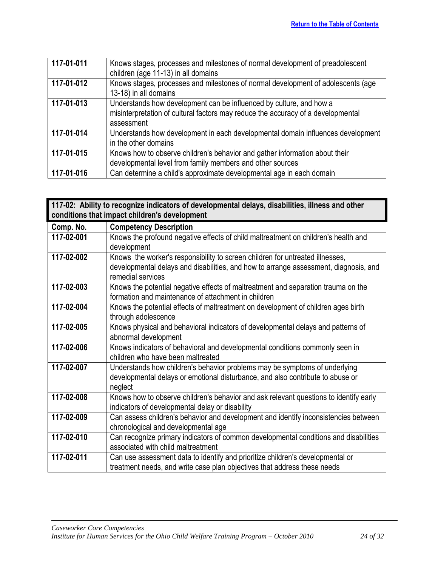| 117-01-011 | Knows stages, processes and milestones of normal development of preadolescent<br>children (age 11-13) in all domains                                                  |
|------------|-----------------------------------------------------------------------------------------------------------------------------------------------------------------------|
| 117-01-012 | Knows stages, processes and milestones of normal development of adolescents (age<br>13-18) in all domains                                                             |
| 117-01-013 | Understands how development can be influenced by culture, and how a<br>misinterpretation of cultural factors may reduce the accuracy of a developmental<br>assessment |
| 117-01-014 | Understands how development in each developmental domain influences development<br>in the other domains                                                               |
| 117-01-015 | Knows how to observe children's behavior and gather information about their<br>developmental level from family members and other sources                              |
| 117-01-016 | Can determine a child's approximate developmental age in each domain                                                                                                  |

<span id="page-23-0"></span>

| 117-02: Ability to recognize indicators of developmental delays, disabilities, illness and other<br>conditions that impact children's development |                                                                                                                                                                                            |
|---------------------------------------------------------------------------------------------------------------------------------------------------|--------------------------------------------------------------------------------------------------------------------------------------------------------------------------------------------|
| Comp. No.                                                                                                                                         | <b>Competency Description</b>                                                                                                                                                              |
| 117-02-001                                                                                                                                        | Knows the profound negative effects of child maltreatment on children's health and<br>development                                                                                          |
| 117-02-002                                                                                                                                        | Knows the worker's responsibility to screen children for untreated illnesses,<br>developmental delays and disabilities, and how to arrange assessment, diagnosis, and<br>remedial services |
| 117-02-003                                                                                                                                        | Knows the potential negative effects of maltreatment and separation trauma on the<br>formation and maintenance of attachment in children                                                   |
| 117-02-004                                                                                                                                        | Knows the potential effects of maltreatment on development of children ages birth<br>through adolescence                                                                                   |
| 117-02-005                                                                                                                                        | Knows physical and behavioral indicators of developmental delays and patterns of<br>abnormal development                                                                                   |
| 117-02-006                                                                                                                                        | Knows indicators of behavioral and developmental conditions commonly seen in<br>children who have been maltreated                                                                          |
| 117-02-007                                                                                                                                        | Understands how children's behavior problems may be symptoms of underlying<br>developmental delays or emotional disturbance, and also contribute to abuse or<br>neglect                    |
| 117-02-008                                                                                                                                        | Knows how to observe children's behavior and ask relevant questions to identify early<br>indicators of developmental delay or disability                                                   |
| 117-02-009                                                                                                                                        | Can assess children's behavior and development and identify inconsistencies between<br>chronological and developmental age                                                                 |
| 117-02-010                                                                                                                                        | Can recognize primary indicators of common developmental conditions and disabilities<br>associated with child maltreatment                                                                 |
| 117-02-011                                                                                                                                        | Can use assessment data to identify and prioritize children's developmental or<br>treatment needs, and write case plan objectives that address these needs                                 |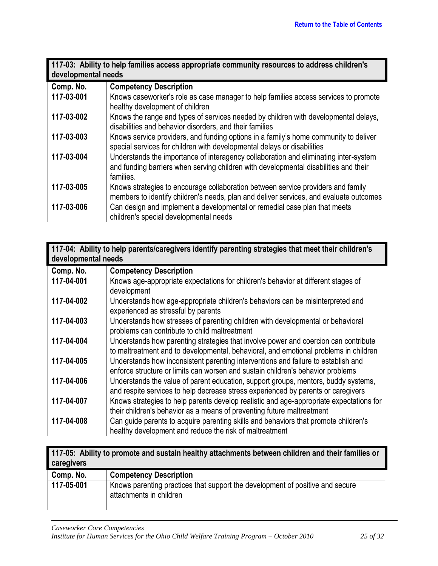<span id="page-24-0"></span>

| 117-03: Ability to help families access appropriate community resources to address children's<br>developmental needs |                                                                                                                                                                                           |
|----------------------------------------------------------------------------------------------------------------------|-------------------------------------------------------------------------------------------------------------------------------------------------------------------------------------------|
| Comp. No.                                                                                                            | <b>Competency Description</b>                                                                                                                                                             |
| 117-03-001                                                                                                           | Knows caseworker's role as case manager to help families access services to promote<br>healthy development of children                                                                    |
| 117-03-002                                                                                                           | Knows the range and types of services needed by children with developmental delays,<br>disabilities and behavior disorders, and their families                                            |
| 117-03-003                                                                                                           | Knows service providers, and funding options in a family's home community to deliver<br>special services for children with developmental delays or disabilities                           |
| 117-03-004                                                                                                           | Understands the importance of interagency collaboration and eliminating inter-system<br>and funding barriers when serving children with developmental disabilities and their<br>families. |
| 117-03-005                                                                                                           | Knows strategies to encourage collaboration between service providers and family<br>members to identify children's needs, plan and deliver services, and evaluate outcomes                |
| 117-03-006                                                                                                           | Can design and implement a developmental or remedial case plan that meets<br>children's special developmental needs                                                                       |

<span id="page-24-1"></span>

| 117-04: Ability to help parents/caregivers identify parenting strategies that meet their children's |
|-----------------------------------------------------------------------------------------------------|
| developmental needs                                                                                 |

| Comp. No.  | <b>Competency Description</b>                                                           |
|------------|-----------------------------------------------------------------------------------------|
| 117-04-001 | Knows age-appropriate expectations for children's behavior at different stages of       |
|            | development                                                                             |
| 117-04-002 | Understands how age-appropriate children's behaviors can be misinterpreted and          |
|            | experienced as stressful by parents                                                     |
| 117-04-003 | Understands how stresses of parenting children with developmental or behavioral         |
|            | problems can contribute to child maltreatment                                           |
| 117-04-004 | Understands how parenting strategies that involve power and coercion can contribute     |
|            | to maltreatment and to developmental, behavioral, and emotional problems in children    |
| 117-04-005 | Understands how inconsistent parenting interventions and failure to establish and       |
|            | enforce structure or limits can worsen and sustain children's behavior problems         |
| 117-04-006 | Understands the value of parent education, support groups, mentors, buddy systems,      |
|            | and respite services to help decrease stress experienced by parents or caregivers       |
| 117-04-007 | Knows strategies to help parents develop realistic and age-appropriate expectations for |
|            | their children's behavior as a means of preventing future maltreatment                  |
| 117-04-008 | Can guide parents to acquire parenting skills and behaviors that promote children's     |
|            | healthy development and reduce the risk of maltreatment                                 |

<span id="page-24-2"></span>

| 117-05: Ability to promote and sustain healthy attachments between children and their families or<br>caregivers |                                                                                                          |
|-----------------------------------------------------------------------------------------------------------------|----------------------------------------------------------------------------------------------------------|
| Comp. No.                                                                                                       | <b>Competency Description</b>                                                                            |
| 117-05-001                                                                                                      | Knows parenting practices that support the development of positive and secure<br>attachments in children |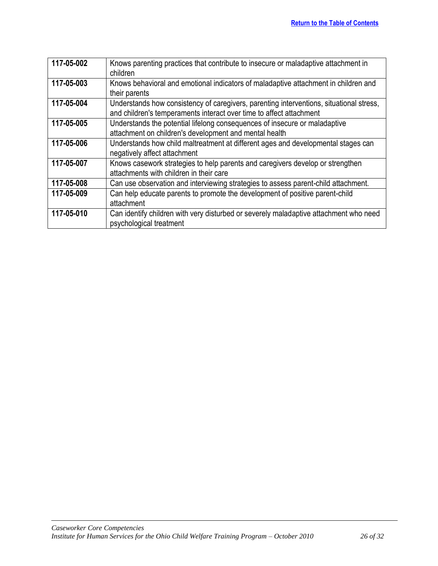| 117-05-002 | Knows parenting practices that contribute to insecure or maladaptive attachment in<br>children                                                                 |
|------------|----------------------------------------------------------------------------------------------------------------------------------------------------------------|
| 117-05-003 | Knows behavioral and emotional indicators of maladaptive attachment in children and<br>their parents                                                           |
| 117-05-004 | Understands how consistency of caregivers, parenting interventions, situational stress,<br>and children's temperaments interact over time to affect attachment |
| 117-05-005 | Understands the potential lifelong consequences of insecure or maladaptive<br>attachment on children's development and mental health                           |
| 117-05-006 | Understands how child maltreatment at different ages and developmental stages can<br>negatively affect attachment                                              |
| 117-05-007 | Knows casework strategies to help parents and caregivers develop or strengthen<br>attachments with children in their care                                      |
| 117-05-008 | Can use observation and interviewing strategies to assess parent-child attachment.                                                                             |
| 117-05-009 | Can help educate parents to promote the development of positive parent-child<br>attachment                                                                     |
| 117-05-010 | Can identify children with very disturbed or severely maladaptive attachment who need<br>psychological treatment                                               |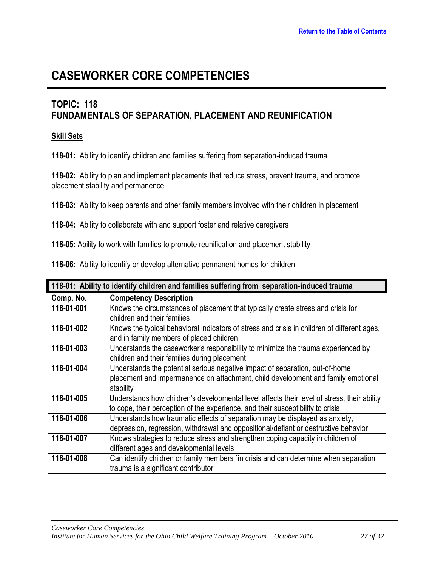### <span id="page-26-0"></span>**TOPIC: 118 FUNDAMENTALS OF SEPARATION, PLACEMENT AND REUNIFICATION**

#### **Skill Sets**

**118-01:** Ability to identify children and families suffering from separation-induced trauma

**118-02:** Ability to plan and implement placements that reduce stress, prevent trauma, and promote placement stability and permanence

**118-03:** Ability to keep parents and other family members involved with their children in placement

**118-04:** Ability to collaborate with and support foster and relative caregivers

**118-05:** Ability to work with families to promote reunification and placement stability

**118-06:** Ability to identify or develop alternative permanent homes for children

<span id="page-26-1"></span>

| 118-01: Ability to identify children and families suffering from separation-induced trauma |                                                                                             |
|--------------------------------------------------------------------------------------------|---------------------------------------------------------------------------------------------|
| Comp. No.                                                                                  | <b>Competency Description</b>                                                               |
| 118-01-001                                                                                 | Knows the circumstances of placement that typically create stress and crisis for            |
|                                                                                            | children and their families                                                                 |
| 118-01-002                                                                                 | Knows the typical behavioral indicators of stress and crisis in children of different ages, |
|                                                                                            | and in family members of placed children                                                    |
| 118-01-003                                                                                 | Understands the caseworker's responsibility to minimize the trauma experienced by           |
|                                                                                            | children and their families during placement                                                |
| 118-01-004                                                                                 | Understands the potential serious negative impact of separation, out-of-home                |
|                                                                                            | placement and impermanence on attachment, child development and family emotional            |
|                                                                                            | stability                                                                                   |
| 118-01-005                                                                                 | Understands how children's developmental level affects their level of stress, their ability |
|                                                                                            | to cope, their perception of the experience, and their susceptibility to crisis             |
| 118-01-006                                                                                 | Understands how traumatic effects of separation may be displayed as anxiety,                |
|                                                                                            | depression, regression, withdrawal and oppositional/defiant or destructive behavior         |
| 118-01-007                                                                                 | Knows strategies to reduce stress and strengthen coping capacity in children of             |
|                                                                                            | different ages and developmental levels                                                     |
| 118-01-008                                                                                 | Can identify children or family members 'in crisis and can determine when separation        |
|                                                                                            | trauma is a significant contributor                                                         |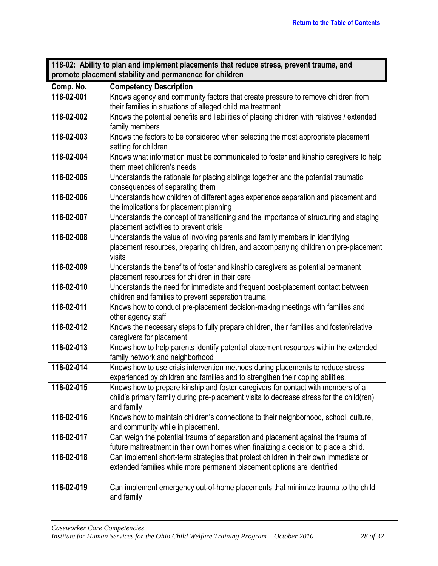<span id="page-27-0"></span>

| 118-02: Ability to plan and implement placements that reduce stress, prevent trauma, and |                                                                                                                                                                   |
|------------------------------------------------------------------------------------------|-------------------------------------------------------------------------------------------------------------------------------------------------------------------|
| promote placement stability and permanence for children                                  |                                                                                                                                                                   |
| Comp. No.                                                                                | <b>Competency Description</b>                                                                                                                                     |
| 118-02-001                                                                               | Knows agency and community factors that create pressure to remove children from                                                                                   |
|                                                                                          | their families in situations of alleged child maltreatment                                                                                                        |
| 118-02-002                                                                               | Knows the potential benefits and liabilities of placing children with relatives / extended                                                                        |
|                                                                                          | family members                                                                                                                                                    |
| 118-02-003                                                                               | Knows the factors to be considered when selecting the most appropriate placement                                                                                  |
|                                                                                          | setting for children                                                                                                                                              |
| 118-02-004                                                                               | Knows what information must be communicated to foster and kinship caregivers to help                                                                              |
|                                                                                          | them meet children's needs                                                                                                                                        |
| 118-02-005                                                                               | Understands the rationale for placing siblings together and the potential traumatic                                                                               |
|                                                                                          | consequences of separating them                                                                                                                                   |
| 118-02-006                                                                               | Understands how children of different ages experience separation and placement and<br>the implications for placement planning                                     |
| 118-02-007                                                                               | Understands the concept of transitioning and the importance of structuring and staging                                                                            |
|                                                                                          | placement activities to prevent crisis                                                                                                                            |
| 118-02-008                                                                               | Understands the value of involving parents and family members in identifying                                                                                      |
|                                                                                          | placement resources, preparing children, and accompanying children on pre-placement                                                                               |
|                                                                                          | visits                                                                                                                                                            |
| 118-02-009                                                                               | Understands the benefits of foster and kinship caregivers as potential permanent                                                                                  |
|                                                                                          | placement resources for children in their care                                                                                                                    |
| 118-02-010                                                                               | Understands the need for immediate and frequent post-placement contact between                                                                                    |
|                                                                                          | children and families to prevent separation trauma                                                                                                                |
| 118-02-011                                                                               | Knows how to conduct pre-placement decision-making meetings with families and                                                                                     |
|                                                                                          | other agency staff                                                                                                                                                |
| 118-02-012                                                                               | Knows the necessary steps to fully prepare children, their families and foster/relative                                                                           |
|                                                                                          | caregivers for placement                                                                                                                                          |
| 118-02-013                                                                               | Knows how to help parents identify potential placement resources within the extended                                                                              |
|                                                                                          | family network and neighborhood                                                                                                                                   |
| 118-02-014                                                                               | Knows how to use crisis intervention methods during placements to reduce stress<br>experienced by children and families and to strengthen their coping abilities. |
| 118-02-015                                                                               | Knows how to prepare kinship and foster caregivers for contact with members of a                                                                                  |
|                                                                                          | child's primary family during pre-placement visits to decrease stress for the child(ren)                                                                          |
|                                                                                          | and family.                                                                                                                                                       |
| 118-02-016                                                                               | Knows how to maintain children's connections to their neighborhood, school, culture,                                                                              |
|                                                                                          | and community while in placement.                                                                                                                                 |
| 118-02-017                                                                               | Can weigh the potential trauma of separation and placement against the trauma of                                                                                  |
|                                                                                          | future maltreatment in their own homes when finalizing a decision to place a child.                                                                               |
| 118-02-018                                                                               | Can implement short-term strategies that protect children in their own immediate or                                                                               |
|                                                                                          | extended families while more permanent placement options are identified                                                                                           |
|                                                                                          |                                                                                                                                                                   |
| 118-02-019                                                                               | Can implement emergency out-of-home placements that minimize trauma to the child                                                                                  |
|                                                                                          | and family                                                                                                                                                        |
|                                                                                          |                                                                                                                                                                   |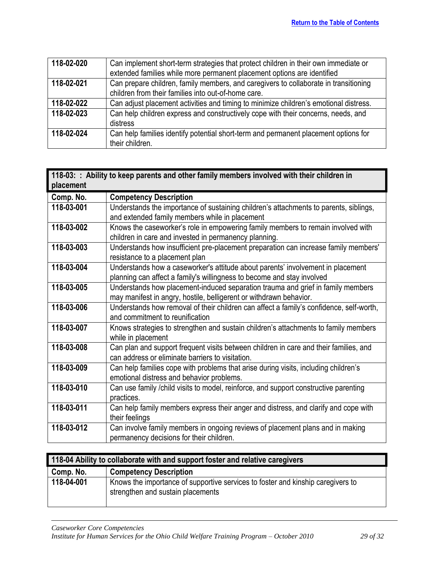| 118-02-020 | Can implement short-term strategies that protect children in their own immediate or   |
|------------|---------------------------------------------------------------------------------------|
|            | extended families while more permanent placement options are identified               |
| 118-02-021 | Can prepare children, family members, and caregivers to collaborate in transitioning  |
|            | children from their families into out-of-home care.                                   |
| 118-02-022 | Can adjust placement activities and timing to minimize children's emotional distress. |
| 118-02-023 | Can help children express and constructively cope with their concerns, needs, and     |
|            | distress                                                                              |
| 118-02-024 | Can help families identify potential short-term and permanent placement options for   |
|            | their children.                                                                       |

<span id="page-28-0"></span>

| 118-03: : Ability to keep parents and other family members involved with their children in<br>placement |                                                                                         |
|---------------------------------------------------------------------------------------------------------|-----------------------------------------------------------------------------------------|
| Comp. No.                                                                                               | <b>Competency Description</b>                                                           |
| 118-03-001                                                                                              | Understands the importance of sustaining children's attachments to parents, siblings,   |
|                                                                                                         | and extended family members while in placement                                          |
| 118-03-002                                                                                              | Knows the caseworker's role in empowering family members to remain involved with        |
|                                                                                                         | children in care and invested in permanency planning.                                   |
| 118-03-003                                                                                              | Understands how insufficient pre-placement preparation can increase family members'     |
|                                                                                                         | resistance to a placement plan                                                          |
| 118-03-004                                                                                              | Understands how a caseworker's attitude about parents' involvement in placement         |
|                                                                                                         | planning can affect a family's willingness to become and stay involved                  |
| 118-03-005                                                                                              | Understands how placement-induced separation trauma and grief in family members         |
|                                                                                                         | may manifest in angry, hostile, belligerent or withdrawn behavior.                      |
| 118-03-006                                                                                              | Understands how removal of their children can affect a family's confidence, self-worth, |
|                                                                                                         | and commitment to reunification                                                         |
| 118-03-007                                                                                              | Knows strategies to strengthen and sustain children's attachments to family members     |
|                                                                                                         | while in placement                                                                      |
| 118-03-008                                                                                              | Can plan and support frequent visits between children in care and their families, and   |
|                                                                                                         | can address or eliminate barriers to visitation.                                        |
| 118-03-009                                                                                              | Can help families cope with problems that arise during visits, including children's     |
|                                                                                                         | emotional distress and behavior problems.                                               |
| 118-03-010                                                                                              | Can use family /child visits to model, reinforce, and support constructive parenting    |
|                                                                                                         | practices.                                                                              |
| 118-03-011                                                                                              | Can help family members express their anger and distress, and clarify and cope with     |
|                                                                                                         | their feelings                                                                          |
| 118-03-012                                                                                              | Can involve family members in ongoing reviews of placement plans and in making          |
|                                                                                                         | permanency decisions for their children.                                                |

<span id="page-28-1"></span>

| 118-04 Ability to collaborate with and support foster and relative caregivers |                                                                                                                      |
|-------------------------------------------------------------------------------|----------------------------------------------------------------------------------------------------------------------|
| Comp. No.                                                                     | <b>Competency Description</b>                                                                                        |
| 118-04-001                                                                    | Knows the importance of supportive services to foster and kinship caregivers to<br>strengthen and sustain placements |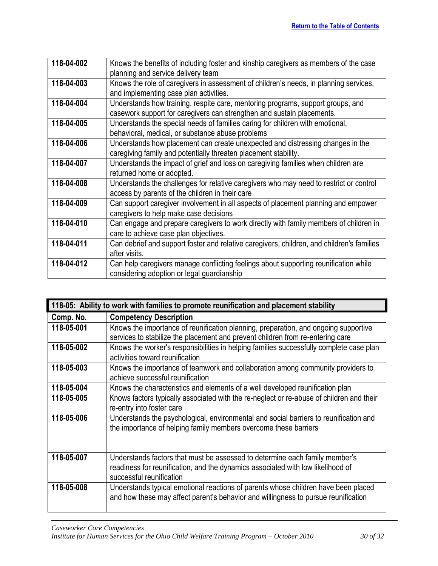| 118-04-002 | Knows the benefits of including foster and kinship caregivers as members of the case      |
|------------|-------------------------------------------------------------------------------------------|
|            | planning and service delivery team                                                        |
| 118-04-003 | Knows the role of caregivers in assessment of children's needs, in planning services,     |
|            | and implementing case plan activities.                                                    |
| 118-04-004 | Understands how training, respite care, mentoring programs, support groups, and           |
|            | casework support for caregivers can strengthen and sustain placements.                    |
| 118-04-005 | Understands the special needs of families caring for children with emotional,             |
|            | behavioral, medical, or substance abuse problems                                          |
| 118-04-006 | Understands how placement can create unexpected and distressing changes in the            |
|            | caregiving family and potentially threaten placement stability.                           |
| 118-04-007 | Understands the impact of grief and loss on caregiving families when children are         |
|            | returned home or adopted.                                                                 |
| 118-04-008 | Understands the challenges for relative caregivers who may need to restrict or control    |
|            | access by parents of the children in their care                                           |
| 118-04-009 | Can support caregiver involvement in all aspects of placement planning and empower        |
|            | caregivers to help make case decisions                                                    |
| 118-04-010 | Can engage and prepare caregivers to work directly with family members of children in     |
|            | care to achieve case plan objectives.                                                     |
| 118-04-011 | Can debrief and support foster and relative caregivers, children, and children's families |
|            | after visits.                                                                             |
| 118-04-012 | Can help caregivers manage conflicting feelings about supporting reunification while      |
|            | considering adoption or legal guardianship                                                |

<span id="page-29-0"></span>

| 118-05: Ability to work with families to promote reunification and placement stability |                                                                                                                       |  |
|----------------------------------------------------------------------------------------|-----------------------------------------------------------------------------------------------------------------------|--|
| Comp. No.                                                                              | <b>Competency Description</b>                                                                                         |  |
| 118-05-001                                                                             | Knows the importance of reunification planning, preparation, and ongoing supportive                                   |  |
|                                                                                        | services to stabilize the placement and prevent children from re-entering care                                        |  |
| 118-05-002                                                                             | Knows the worker's responsibilities in helping families successfully complete case plan                               |  |
|                                                                                        | activities toward reunification                                                                                       |  |
| 118-05-003                                                                             | Knows the importance of teamwork and collaboration among community providers to<br>achieve successful reunification   |  |
|                                                                                        |                                                                                                                       |  |
| 118-05-004                                                                             | Knows the characteristics and elements of a well developed reunification plan                                         |  |
| 118-05-005                                                                             | Knows factors typically associated with the re-neglect or re-abuse of children and their<br>re-entry into foster care |  |
| 118-05-006                                                                             | Understands the psychological, environmental and social barriers to reunification and                                 |  |
|                                                                                        | the importance of helping family members overcome these barriers                                                      |  |
|                                                                                        |                                                                                                                       |  |
|                                                                                        |                                                                                                                       |  |
| 118-05-007                                                                             | Understands factors that must be assessed to determine each family member's                                           |  |
|                                                                                        | readiness for reunification, and the dynamics associated with low likelihood of                                       |  |
|                                                                                        | successful reunification                                                                                              |  |
| 118-05-008                                                                             | Understands typical emotional reactions of parents whose children have been placed                                    |  |
|                                                                                        | and how these may affect parent's behavior and willingness to pursue reunification                                    |  |
|                                                                                        |                                                                                                                       |  |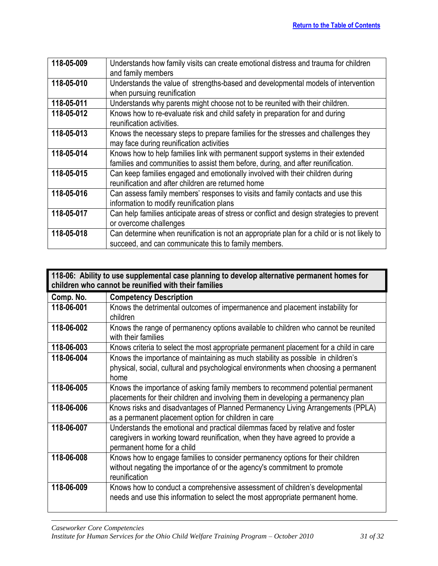| 118-05-009 | Understands how family visits can create emotional distress and trauma for children<br>and family members                                                            |
|------------|----------------------------------------------------------------------------------------------------------------------------------------------------------------------|
| 118-05-010 | Understands the value of strengths-based and developmental models of intervention<br>when pursuing reunification                                                     |
| 118-05-011 | Understands why parents might choose not to be reunited with their children.                                                                                         |
| 118-05-012 | Knows how to re-evaluate risk and child safety in preparation for and during<br>reunification activities.                                                            |
| 118-05-013 | Knows the necessary steps to prepare families for the stresses and challenges they<br>may face during reunification activities                                       |
| 118-05-014 | Knows how to help families link with permanent support systems in their extended<br>families and communities to assist them before, during, and after reunification. |
| 118-05-015 | Can keep families engaged and emotionally involved with their children during<br>reunification and after children are returned home                                  |
| 118-05-016 | Can assess family members' responses to visits and family contacts and use this<br>information to modify reunification plans                                         |
| 118-05-017 | Can help families anticipate areas of stress or conflict and design strategies to prevent<br>or overcome challenges                                                  |
| 118-05-018 | Can determine when reunification is not an appropriate plan for a child or is not likely to<br>succeed, and can communicate this to family members.                  |

<span id="page-30-0"></span>

| 118-06: Ability to use supplemental case planning to develop alternative permanent homes for<br>children who cannot be reunified with their families |                                                                                                                                                                                               |  |
|------------------------------------------------------------------------------------------------------------------------------------------------------|-----------------------------------------------------------------------------------------------------------------------------------------------------------------------------------------------|--|
| Comp. No.                                                                                                                                            | <b>Competency Description</b>                                                                                                                                                                 |  |
| 118-06-001                                                                                                                                           | Knows the detrimental outcomes of impermanence and placement instability for<br>children                                                                                                      |  |
| 118-06-002                                                                                                                                           | Knows the range of permanency options available to children who cannot be reunited<br>with their families                                                                                     |  |
| 118-06-003                                                                                                                                           | Knows criteria to select the most appropriate permanent placement for a child in care                                                                                                         |  |
| 118-06-004                                                                                                                                           | Knows the importance of maintaining as much stability as possible in children's<br>physical, social, cultural and psychological environments when choosing a permanent<br>home                |  |
| 118-06-005                                                                                                                                           | Knows the importance of asking family members to recommend potential permanent<br>placements for their children and involving them in developing a permanency plan                            |  |
| 118-06-006                                                                                                                                           | Knows risks and disadvantages of Planned Permanency Living Arrangements (PPLA)<br>as a permanent placement option for children in care                                                        |  |
| 118-06-007                                                                                                                                           | Understands the emotional and practical dilemmas faced by relative and foster<br>caregivers in working toward reunification, when they have agreed to provide a<br>permanent home for a child |  |
| 118-06-008                                                                                                                                           | Knows how to engage families to consider permanency options for their children<br>without negating the importance of or the agency's commitment to promote<br>reunification                   |  |
| 118-06-009                                                                                                                                           | Knows how to conduct a comprehensive assessment of children's developmental<br>needs and use this information to select the most appropriate permanent home.                                  |  |